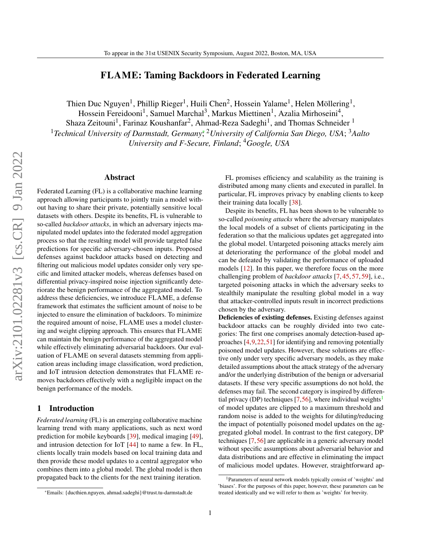# FLAME: Taming Backdoors in Federated Learning

Thien Duc Nguyen<sup>1</sup>, Phillip Rieger<sup>1</sup>, Huili Chen<sup>2</sup>, Hossein Yalame<sup>1</sup>, Helen Möllering<sup>1</sup>,

Hossein Fereidooni<sup>1</sup>, Samuel Marchal<sup>3</sup>, Markus Miettinen<sup>1</sup>, Azalia Mirhoseini<sup>4</sup>,

Shaza Zeitouni<sup>1</sup>, Farinaz Koushanfar<sup>2</sup>, Ahmad-Reza Sadeghi<sup>1</sup>, and Thomas Schneider <sup>1</sup> <sup>1</sup> Technical University of Darmstadt, Germany\*,<sup>2</sup>University of California San Diego, USA; <sup>3</sup>Aalto *University and F-Secure, Finland*; <sup>4</sup>*Google, USA*

### Abstract

Federated Learning (FL) is a collaborative machine learning approach allowing participants to jointly train a model without having to share their private, potentially sensitive local datasets with others. Despite its benefits, FL is vulnerable to so-called *backdoor attacks*, in which an adversary injects manipulated model updates into the federated model aggregation process so that the resulting model will provide targeted false predictions for specific adversary-chosen inputs. Proposed defenses against backdoor attacks based on detecting and filtering out malicious model updates consider only very specific and limited attacker models, whereas defenses based on differential privacy-inspired noise injection significantly deteriorate the benign performance of the aggregated model. To address these deficiencies, we introduce FLAME, a defense framework that estimates the sufficient amount of noise to be injected to ensure the elimination of backdoors. To minimize the required amount of noise, FLAME uses a model clustering and weight clipping approach. This ensures that FLAME can maintain the benign performance of the aggregated model while effectively eliminating adversarial backdoors. Our evaluation of FLAME on several datasets stemming from application areas including image classification, word prediction, and IoT intrusion detection demonstrates that FLAME removes backdoors effectively with a negligible impact on the benign performance of the models.

#### 1 Introduction

*Federated learning* (FL) is an emerging collaborative machine learning trend with many applications, such as next word prediction for mobile keyboards [\[39\]](#page-14-0), medical imaging [\[49\]](#page-15-0), and intrusion detection for IoT [\[44\]](#page-15-1) to name a few. In FL, clients locally train models based on local training data and then provide these model updates to a central aggregator who combines them into a global model. The global model is then propagated back to the clients for the next training iteration.

FL promises efficiency and scalability as the training is distributed among many clients and executed in parallel. In particular, FL improves privacy by enabling clients to keep their training data locally [\[38\]](#page-14-1).

Despite its benefits, FL has been shown to be vulnerable to so-called *poisoning attacks* where the adversary manipulates the local models of a subset of clients participating in the federation so that the malicious updates get aggregated into the global model. Untargeted poisoning attacks merely aim at deteriorating the performance of the global model and can be defeated by validating the performance of uploaded models [\[12\]](#page-14-2). In this paper, we therefore focus on the more challenging problem of *backdoor attacks* [\[7,](#page-13-0) [45,](#page-15-2) [57,](#page-15-3) [59\]](#page-15-4), i.e., targeted poisoning attacks in which the adversary seeks to stealthily manipulate the resulting global model in a way that attacker-controlled inputs result in incorrect predictions chosen by the adversary.

Deficiencies of existing defenses. Existing defenses against backdoor attacks can be roughly divided into two categories: The first one comprises anomaly detection-based approaches [\[4,](#page-13-1)[9,](#page-13-2)[22,](#page-14-3)[51\]](#page-15-5) for identifying and removing potentially poisoned model updates. However, these solutions are effective only under very specific adversary models, as they make detailed assumptions about the attack strategy of the adversary and/or the underlying distribution of the benign or adversarial datasets. If these very specific assumptions do not hold, the defenses may fail. The second category is inspired by differential privacy (DP) techniques  $[7,56]$  $[7,56]$ , where individual weights<sup>[1](#page-0-0)</sup> of model updates are clipped to a maximum threshold and random noise is added to the weights for diluting/reducing the impact of potentially poisoned model updates on the aggregated global model. In contrast to the first category, DP techniques [\[7,](#page-13-0)[56\]](#page-15-6) are applicable in a generic adversary model without specific assumptions about adversarial behavior and data distributions and are effective in eliminating the impact of malicious model updates. However, straightforward ap-

<sup>∗</sup>Emails: {ducthien.nguyen, ahmad.sadeghi}@trust.tu-darmstadt.de

<span id="page-0-0"></span><sup>1</sup>Parameters of neural network models typically consist of 'weights' and 'biases'. For the purposes of this paper, however, these parameters can be treated identically and we will refer to them as 'weights' for brevity.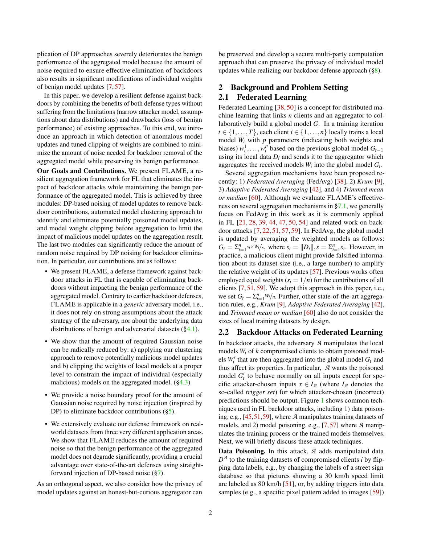plication of DP approaches severely deteriorates the benign performance of the aggregated model because the amount of noise required to ensure effective elimination of backdoors also results in significant modifications of individual weights of benign model updates [\[7,](#page-13-0) [57\]](#page-15-3).

In this paper, we develop a resilient defense against backdoors by combining the benefits of both defense types without suffering from the limitations (narrow attacker model, assumptions about data distributions) and drawbacks (loss of benign performance) of existing approaches. To this end, we introduce an approach in which detection of anomalous model updates and tuned clipping of weights are combined to minimize the amount of noise needed for backdoor removal of the aggregated model while preserving its benign performance.

Our Goals and Contributions. We present FLAME, a resilient aggregation framework for FL that eliminates the impact of backdoor attacks while maintaining the benign performance of the aggregated model. This is achieved by three modules: DP-based noising of model updates to remove backdoor contributions, automated model clustering approach to identify and eliminate potentially poisoned model updates, and model weight clipping before aggregation to limit the impact of malicious model updates on the aggregation result. The last two modules can significantly reduce the amount of random noise required by DP noising for backdoor elimination. In particular, our contributions are as follows:

- We present FLAME, a defense framework against backdoor attacks in FL that is capable of eliminating backdoors without impacting the benign performance of the aggregated model. Contrary to earlier backdoor defenses, FLAME is applicable in a *generic* adversary model, i.e., it does not rely on strong assumptions about the attack strategy of the adversary, nor about the underlying data distributions of benign and adversarial datasets  $(\S 4.1)$ .
- We show that the amount of required Gaussian noise can be radically reduced by: a) applying our clustering approach to remove potentially malicious model updates and b) clipping the weights of local models at a proper level to constrain the impact of individual (especially malicious) models on the aggregated model.  $(\S4.3)$
- We provide a noise boundary proof for the amount of Gaussian noise required by noise injection (inspired by DP) to eliminate backdoor contributions  $(\S5)$ .
- We extensively evaluate our defense framework on realworld datasets from three very different application areas. We show that FLAME reduces the amount of required noise so that the benign performance of the aggregated model does not degrade significantly, providing a crucial advantage over state-of-the-art defenses using straightforward injection of DP-based noise ([§7\)](#page-9-0).

As an orthogonal aspect, we also consider how the privacy of model updates against an honest-but-curious aggregator can

be preserved and develop a secure multi-party computation approach that can preserve the privacy of individual model updates while realizing our backdoor defense approach ([§8\)](#page-12-0).

# <span id="page-1-0"></span>2 Background and Problem Setting 2.1 Federated Learning

Federated Learning [\[38,](#page-14-1) [50\]](#page-15-7) is a concept for distributed machine learning that links *n* clients and an aggregator to collaboratively build a global model *G*. In a training iteration  $t \in \{1, \ldots, T\}$ , each client  $i \in \{1, \ldots, n\}$  locally trains a local model  $W_i$  with  $p$  parameters (indicating both weights and biases)  $w_i^1, \ldots, w_i^p$  based on the previous global model  $G_{t-1}$ using its local data  $D_i$  and sends it to the aggregator which aggregates the received models  $W_i$  into the global model  $G_t$ .

Several aggregation mechanisms have been proposed recently: 1) *Federated Averaging* (FedAvg) [\[38\]](#page-14-1), 2) *Krum* [\[9\]](#page-13-2), 3) *Adaptive Federated Averaging* [\[42\]](#page-14-4), and 4) *Trimmed mean or median* [\[60\]](#page-15-8). Although we evaluate FLAME's effectiveness on several aggregation mechanisms in [§7.1,](#page-9-1) we generally focus on FedAvg in this work as it is commonly applied in FL [\[21,](#page-14-5) [28,](#page-14-6) [39,](#page-14-0) [44,](#page-15-1) [47,](#page-15-9) [50,](#page-15-7) [54\]](#page-15-10) and related work on backdoor attacks [\[7,](#page-13-0) [22,](#page-14-3) [51,](#page-15-5) [57,](#page-15-3) [59\]](#page-15-4). In FedAvg, the global model is updated by averaging the weighted models as follows:  $G_t = \sum_{i=1}^n s_i \times W_i / s$ , where  $s_i = ||D_i||$ ,  $s = \sum_{i=1}^n s_i$ . However, in practice, a malicious client might provide falsified information about its dataset size (i.e., a large number) to amplify the relative weight of its updates [\[57\]](#page-15-3). Previous works often employed equal weights  $(s<sub>i</sub> = 1/n)$  for the contributions of all clients [\[7,](#page-13-0) [51,](#page-15-5) [59\]](#page-15-4). We adopt this approach in this paper, i.e., we set  $G_t = \sum_{i=1}^n W_i / n$ . Further, other state-of-the-art aggregation rules, e.g., *Krum* [\[9\]](#page-13-2), *Adaptive Federated Averaging* [\[42\]](#page-14-4), and *Trimmed mean or median* [\[60\]](#page-15-8) also do not consider the sizes of local training datasets by design.

# <span id="page-1-1"></span>2.2 Backdoor Attacks on Federated Learning

In backdoor attacks, the adversary *A* manipulates the local models *W<sup>i</sup>* of *k* compromised clients to obtain poisoned models  $W_i'$  that are then aggregated into the global model  $G_t$  and thus affect its properties. In particular, *A* wants the poisoned model  $G'_{t}$  to behave normally on all inputs except for specific attacker-chosen inputs  $x \in I_{\mathcal{A}}$  (where  $I_{\mathcal{A}}$  denotes the so-called *trigger set*) for which attacker-chosen (incorrect) predictions should be output. Figure [1](#page-2-0) shows common techniques used in FL backdoor attacks, including 1) data poisoning, e.g., [\[45,](#page-15-2)[51,](#page-15-5)[59\]](#page-15-4), where *A* manipulates training datasets of models, and 2) model poisoning, e.g., [\[7,](#page-13-0) [57\]](#page-15-3) where *A* manipulates the training process or the trained models themselves. Next, we will briefly discuss these attack techniques.

Data Poisoning. In this attack, *A* adds manipulated data  $D^A$  to the training datasets of compromised clients *i* by flipping data labels, e.g., by changing the labels of a street sign database so that pictures showing a 30 km/h speed limit are labeled as 80 km/h [\[51\]](#page-15-5), or, by adding triggers into data samples (e.g., a specific pixel pattern added to images [\[59\]](#page-15-4))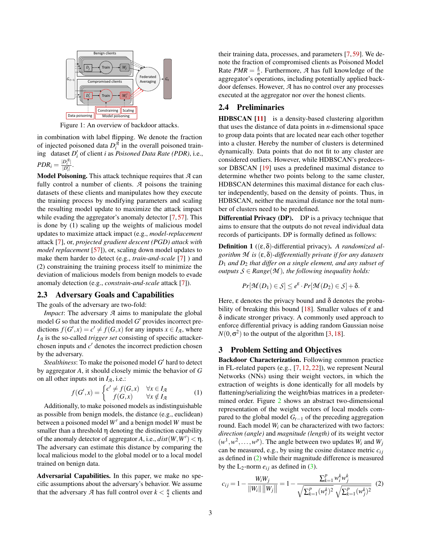<span id="page-2-0"></span>

Figure 1: An overview of backdoor attacks.

in combination with label flipping. We denote the fraction of injected poisoned data  $D_i^{\mathcal{A}}$  in the overall poisoned training dataset  $D_i'$  of client *i* as *Poisoned Data Rate (PDR)*, i.e.,  $PDR_i = \frac{|D_i^{\mathcal{A}}|}{|D'|}$  $\frac{D_i}{|D_i'|}$ .

Model Poisoning. This attack technique requires that *A* can fully control a number of clients. *A* poisons the training datasets of these clients and manipulates how they execute the training process by modifying parameters and scaling the resulting model update to maximize the attack impact while evading the aggregator's anomaly detector [\[7,](#page-13-0) [57\]](#page-15-3). This is done by (1) scaling up the weights of malicious model updates to maximize attack impact (e.g., *model-replacement* attack [\[7\]](#page-13-0), or, *projected gradient descent (PGD) attack with model replacement* [\[57\]](#page-15-3)), or, scaling down model updates to make them harder to detect (e.g., *train-and-scale* [\[7\]](#page-13-0) ) and (2) constraining the training process itself to minimize the deviation of malicious models from benign models to evade anomaly detection (e.g., *constrain-and-scale* attack [\[7\]](#page-13-0)).

# <span id="page-2-3"></span>2.3 Adversary Goals and Capabilities

The goals of the adversary are two-fold:

*Impact*: The adversary *A* aims to manipulate the global model  $G$  so that the modified model  $G'$  provides incorrect predictions  $f(G',x) = c' \neq f(G,x)$  for any inputs  $x \in I_{\mathcal{A}}$ , where *I<sup>A</sup>* is the so-called *trigger set* consisting of specific attackerchosen inputs and  $c'$  denotes the incorrect prediction chosen by the adversary.

Stealthiness: To make the poisoned model G' hard to detect by aggregator *A*, it should closely mimic the behavior of *G* on all other inputs not in  $I_A$ , i.e.:

$$
f(G',x) = \begin{cases} c' \neq f(G,x) & \forall x \in I_{\mathcal{A}} \\ f(G,x) & \forall x \notin I_{\mathcal{A}} \end{cases}
$$
 (1)

Additionally, to make poisoned models as indistinguishable as possible from benign models, the distance (e.g., euclidean) between a poisoned model W' and a benign model W must be smaller than a threshold  $\eta$  denoting the distinction capability of the anomaly detector of aggregator *A*, i.e.,  $dist(W, W') < \eta$ . The adversary can estimate this distance by comparing the local malicious model to the global model or to a local model trained on benign data.

Adversarial Capabilities. In this paper, we make no specific assumptions about the adversary's behavior. We assume that the adversary *A* has full control over  $k < \frac{n}{2}$  clients and

their training data, processes, and parameters [\[7,](#page-13-0) [59\]](#page-15-4). We denote the fraction of compromised clients as Poisoned Model Rate  $PMR = \frac{k}{n}$ . Furthermore,  $\mathcal{A}$  has full knowledge of the aggregator's operations, including potentially applied backdoor defenses. However, *A* has no control over any processes executed at the aggregator nor over the honest clients.

# <span id="page-2-5"></span>2.4 Preliminaries

HDBSCAN [\[11\]](#page-14-7) is a density-based clustering algorithm that uses the distance of data points in *n*-dimensional space to group data points that are located near each other together into a cluster. Hereby the number of clusters is determined dynamically. Data points that do not fit to any cluster are considered outliers. However, while HDBSCAN's predecessor DBSCAN [\[19\]](#page-14-8) uses a predefined maximal distance to determine whether two points belong to the same cluster, HDBSCAN determines this maximal distance for each cluster independently, based on the density of points. Thus, in HDBSCAN, neither the maximal distance nor the total number of clusters need to be predefined.

Differential Privacy (DP). DP is a privacy technique that aims to ensure that the outputs do not reveal individual data records of participants. DP is formally defined as follows:

<span id="page-2-4"></span>Definition 1 ((ε,δ)-differential privacy). *A randomized algorithm M is* (ε,δ)*-differentially private if for any datasets D*<sup>1</sup> *and D*<sup>2</sup> *that differ on a single element, and any subset of outputs*  $S \in Range(M)$ *, the following inequality holds:* 

$$
Pr[\mathcal{M}(D_1) \in \mathcal{S}] \leq e^{\varepsilon} \cdot Pr[\mathcal{M}(D_2) \in \mathcal{S}] + \delta.
$$

Here, ε denotes the privacy bound and δ denotes the proba-bility of breaking this bound [\[18\]](#page-14-9). Smaller values of  $\varepsilon$  and δ indicate stronger privacy. A commonly used approach to enforce differential privacy is adding random Gaussian noise  $N(0, \sigma^2)$  to the output of the algorithm [\[3,](#page-13-3) [18\]](#page-14-9).

#### <span id="page-2-2"></span>3 Problem Setting and Objectives

Backdoor Characterization. Following common practice in FL-related papers (e.g., [\[7,](#page-13-0) [12,](#page-14-2) [22\]](#page-14-3)), we represent Neural Networks (NNs) using their weight vectors, in which the extraction of weights is done identically for all models by flattening/serializing the weight/bias matrices in a predetermined order. Figure [2](#page-3-1) shows an abstract two-dimensional representation of the weight vectors of local models compared to the global model *Gt*−<sup>1</sup> of the preceding aggregation round. Each model  $W_i$  can be characterized with two factors: *direction (angle)* and *magnitude (length)* of its weight vector  $(w<sup>1</sup>, w<sup>2</sup>, ..., w<sup>p</sup>)$ . The angle between two updates  $W<sub>i</sub>$  and  $W<sub>j</sub>$ can be measured, e.g., by using the cosine distance metric *ci j* as defined in [\(2\)](#page-2-1) while their magnitude difference is measured by the  $L_2$ -norm  $e_{ij}$  as defined in [\(3\)](#page-3-2).

<span id="page-2-1"></span>
$$
c_{ij} = 1 - \frac{W_i W_j}{\|W_i\| \|W_j\|} = 1 - \frac{\sum_{k=1}^p w_i^k w_j^k}{\sqrt{\sum_{k=1}^p (w_i^k)^2} \sqrt{\sum_{k=1}^p (w_j^k)^2}}
$$
(2)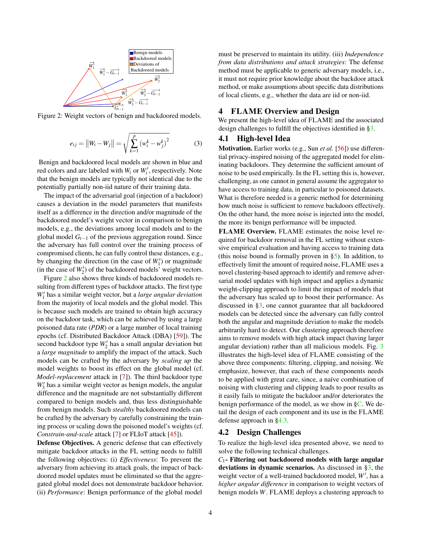<span id="page-3-1"></span>

<span id="page-3-2"></span>Figure 2: Weight vectors of benign and backdoored models.

$$
e_{ij} = ||W_i - W_j|| = \sqrt{\sum_{k=1}^{p} (w_i^k - w_j^k)^2}
$$
 (3)

Benign and backdoored local models are shown in blue and red colors and are labeled with  $W_i$  or  $W'_i$ , respectively. Note that the benign models are typically not identical due to the potentially partially non-iid nature of their training data.

The impact of the adversarial goal (injection of a backdoor) causes a deviation in the model parameters that manifests itself as a difference in the direction and/or magnitude of the backdoored model's weight vector in comparison to benign models, e.g., the deviations among local models and to the global model *Gt*−<sup>1</sup> of the previous aggregation round. Since the adversary has full control over the training process of compromised clients, he can fully control these distances, e.g., by changing the direction (in the case of  $W_1'$ ) or magnitude (in the case of  $W_2'$ ) of the backdoored models<sup>'</sup> weight vectors.

Figure [2](#page-3-1) also shows three kinds of backdoored models resulting from different types of backdoor attacks. The first type  $W_1'$  has a similar weight vector, but a *large angular deviation* from the majority of local models and the global model. This is because such models are trained to obtain high accuracy on the backdoor task, which can be achieved by using a large poisoned data rate (*PDR*) or a large number of local training epochs (cf. Distributed Backdoor Attack (DBA) [\[59\]](#page-15-4)). The second backdoor type  $W_2'$  has a small angular deviation but a *large magnitude* to amplify the impact of the attack. Such models can be crafted by the adversary by *scaling up* the model weights to boost its effect on the global model (cf. *Model-replacement* attack in [\[7\]](#page-13-0)). The third backdoor type  $W_3'$  has a similar weight vector as benign models, the angular difference and the magnitude are not substantially different compared to benign models and, thus less distinguishable from benign models. Such *stealthy* backdoored models can be crafted by the adversary by carefully constraining the training process or scaling down the poisoned model's weights (cf. *Constrain-and-scale* attack [\[7\]](#page-13-0) or FLIoT attack [\[45\]](#page-15-2)).

Defense Objectives. A generic defense that can effectively mitigate backdoor attacks in the FL setting needs to fulfill the following objectives: (i) *Effectiveness*: To prevent the adversary from achieving its attack goals, the impact of backdoored model updates must be eliminated so that the aggregated global model does not demonstrate backdoor behavior. (ii) *Performance*: Benign performance of the global model

must be preserved to maintain its utility. (iii) *Independence from data distributions and attack strategies*: The defense method must be applicable to generic adversary models, i.e., it must not require prior knowledge about the backdoor attack method, or make assumptions about specific data distributions of local clients, e.g., whether the data are iid or non-iid.

# <span id="page-3-4"></span>4 FLAME Overview and Design

<span id="page-3-0"></span>We present the high-level idea of FLAME and the associated design challenges to fulfill the objectives identified in [§3.](#page-2-2)

## 4.1 High-level Idea

Motivation. Earlier works (e.g., Sun *et al.* [\[56\]](#page-15-6)) use differential privacy-inspired noising of the aggregated model for eliminating backdoors. They determine the sufficient amount of noise to be used empirically. In the FL setting this is, however, challenging, as one cannot in general assume the aggregator to have access to training data, in particular to poisoned datasets. What is therefore needed is a generic method for determining how much noise is sufficient to remove backdoors effectively. On the other hand, the more noise is injected into the model, the more its benign performance will be impacted.

FLAME Overview. FLAME estimates the noise level required for backdoor removal in the FL setting without extensive empirical evaluation and having access to training data (this noise bound is formally proven in  $\S5$ ). In addition, to effectively limit the amount of required noise, FLAME uses a novel clustering-based approach to identify and remove adversarial model updates with high impact and applies a dynamic weight-clipping approach to limit the impact of models that the adversary has scaled up to boost their performance. As discussed in [§3,](#page-2-2) one cannot guarantee that all backdoored models can be detected since the adversary can fully control both the angular and magnitude deviation to make the models arbitrarily hard to detect. Our clustering approach therefore aims to remove models with high attack impact (having larger angular deviation) rather than all malicious models. Fig. [3](#page-4-1) illustrates the high-level idea of FLAME consisting of the above three components: filtering, clipping, and noising. We emphasize, however, that each of these components needs to be applied with great care, since, a naïve combination of noising with clustering and clipping leads to poor results as it easily fails to mitigate the backdoor and/or deteriorates the benign performance of the model, as we show in [§C.](#page-17-0) We detail the design of each component and its use in the FLAME defense approach in [§4.3.](#page-4-0)

#### <span id="page-3-3"></span>4.2 Design Challenges

To realize the high-level idea presented above, we need to solve the following technical challenges.

*C*1- Filtering out backdoored models with large angular deviations in dynamic scenarios. As discussed in  $\S3$ , the weight vector of a well-trained backdoored model, W', has a *higher angular difference* in comparison to weight vectors of benign models *W*. FLAME deploys a clustering approach to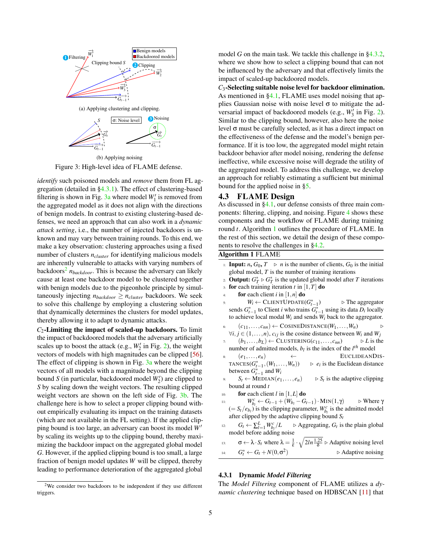<span id="page-4-3"></span><span id="page-4-1"></span>

<span id="page-4-5"></span>Figure 3: High-level idea of FLAME defense.

*identify* such poisoned models and *remove* them from FL aggregation (detailed in [§4.3.1\)](#page-4-2). The effect of clustering-based filtering is shown in Fig.  $3a$  where model  $W_1'$  is removed from the aggregated model as it does not align with the directions of benign models. In contrast to existing clustering-based defenses, we need an approach that can also work in a *dynamic attack setting*, i.e., the number of injected backdoors is unknown and may vary between training rounds. To this end, we make a key observation: clustering approaches using a fixed number of clusters *ncluster* for identifying malicious models are inherently vulnerable to attacks with varying numbers of backdoors<sup>[2](#page-4-4)</sup>  $n_{backdoor}$ . This is because the adversary can likely cause at least one backdoor model to be clustered together with benign models due to the pigeonhole principle by simultaneously injecting  $n_{backdoor} \geq n_{cluster}$  backdoors. We seek to solve this challenge by employing a clustering solution that dynamically determines the clusters for model updates, thereby allowing it to adapt to dynamic attacks.

 $C_2$ -Limiting the impact of scaled-up backdoors. To limit the impact of backdoored models that the adversary artificially scales up to boost the attack (e.g.,  $W_2'$  in Fig. [2\)](#page-3-1), the weight vectors of models with high magnitudes can be clipped [\[56\]](#page-15-6). The effect of clipping is shown in Fig. [3a](#page-4-3) where the weight vectors of all models with a magnitude beyond the clipping bound *S* (in particular, backdoored model  $W_2'$ ) are clipped to *S* by scaling down the weight vectors. The resulting clipped weight vectors are shown on the left side of Fig. [3b.](#page-4-5) The challenge here is how to select a proper clipping bound without empirically evaluating its impact on the training datasets (which are not available in the FL setting). If the applied clipping bound is too large, an adversary can boost its model *W*<sup>0</sup> by scaling its weights up to the clipping bound, thereby maximizing the backdoor impact on the aggregated global model *G*. However, if the applied clipping bound is too small, a large fraction of benign model updates *W* will be clipped, thereby leading to performance deterioration of the aggregated global

<span id="page-4-4"></span> $2$ We consider two backdoors to be independent if they use different triggers.

model *G* on the main task. We tackle this challenge in [§4.3.2,](#page-5-0) where we show how to select a clipping bound that can not be influenced by the adversary and that effectively limits the impact of scaled-up backdoored models.

*C*3-Selecting suitable noise level for backdoor elimination. As mentioned in [§4.1,](#page-3-0) FLAME uses model noising that applies Gaussian noise with noise level  $\sigma$  to mitigate the adversarial impact of backdoored models (e.g.,  $W_3'$  in Fig. [2\)](#page-3-1). Similar to the clipping bound, however, also here the noise level  $σ$  must be carefully selected, as it has a direct impact on the effectiveness of the defense and the model's benign performance. If it is too low, the aggregated model might retain backdoor behavior after model noising, rendering the defense ineffective, while excessive noise will degrade the utility of the aggregated model. To address this challenge, we develop an approach for reliably estimating a sufficient but minimal bound for the applied noise in [§5.](#page-6-0)

# <span id="page-4-0"></span>4.3 FLAME Design

As discussed in [§4.1,](#page-3-0) our defense consists of three main components: filtering, clipping, and noising. Figure [4](#page-5-1) shows these components and the workflow of FLAME during training round *t*. Algorithm [1](#page-4-6) outlines the procedure of FLAME. In the rest of this section, we detail the design of these components to resolve the challenges in [§4.2.](#page-3-3)

#### <span id="page-4-6"></span>Algorithm 1 FLAME

- 1: **Input:**  $n, G_0, T \ge n$  is the number of clients,  $G_0$  is the initial global model, *T* is the number of training iterations 2: **Output:**  $G_T^* \triangleright G_T^*$  is the updated global model after *T* iterations
- 3: **for** each training iteration  $t$  in  $[1, T]$  **do**
- for each client  $i$  in  $[1, n]$  do
- 5:  $W_i \leftarrow \text{CLIENTUPDATE}(G_{t-1}^*)$  $\triangleright$  The aggregator sends  $G_{t-1}^*$  to Client *i* who trains  $G_{t-1}^*$  using its data  $D_i$  locally to achieve local modal *Wi* and sends *Wi* back to the aggregator.
- $(c_{11},...,c_{nn}) \leftarrow \text{CosineDISTANCE}(W_1,...,W_n)$   $\rightarrow$  $∀i, j ∈ (1, ..., n), c_{ij}$  is the cosine distance between  $W_i$  and  $W_j$
- $(b_1, \ldots, b_L) \leftarrow$  CLUSTERING( $c_{11}, \ldots, c_{nn}$ )  $\triangleright L$  is the number of admitted models,  $b_l$  is the index of the  $l^{th}$  model
- 8:  $(e_1, \ldots, e_n) \leftarrow$  EUCLIDEANDIS- $\text{trans}(\mathbf{G}_{t-1}^*,(\mathbf{W}_1,\ldots,\mathbf{W}_n)) \quad \Rightarrow \quad e_i$  $\triangleright$   $e_i$  is the Euclidean distance between  $G_{t-1}^*$  and  $W_i$
- $S_t \leftarrow \text{MEDIAN}(e_1, \ldots, e_n)$  $\triangleright S_t$  is the adaptive clipping bound at round *t*
- 10: **for** each client  $l$  in  $[1, L]$  do
- 11:  $W_{b_l}^c \leftarrow G_{t-1} + (W_{b_l} G_{t-1}) \cdot \text{MIN}(1, \gamma) \qquad \triangleright \text{Where } \gamma$  $(= S_t/e_{b_l})$  is the clipping parameter,  $W_{b_l}^c$  is the admitted model after clipped by the adaptive clipping bound *St*
- 12:  $G_t \leftarrow \sum_{l=1}^L W_{b_l}^c$  $/L \rightarrow$  Aggregating,  $G_t$  is the plain global model before adding noise

13: 
$$
\sigma \leftarrow \lambda \cdot S_t
$$
 where  $\lambda = \frac{1}{\epsilon} \cdot \sqrt{2\ln \frac{1.25}{\delta}}$   $\triangleright$  Adaptive noisy level  
14:  $G_t^* \leftarrow G_t + N(0, \sigma^2)$   $\triangleright$  Adaptive noisy

# <span id="page-4-2"></span>4.3.1 Dynamic *Model Filtering*

The *Model Filtering* component of FLAME utilizes a *dynamic clustering* technique based on HDBSCAN [\[11\]](#page-14-7) that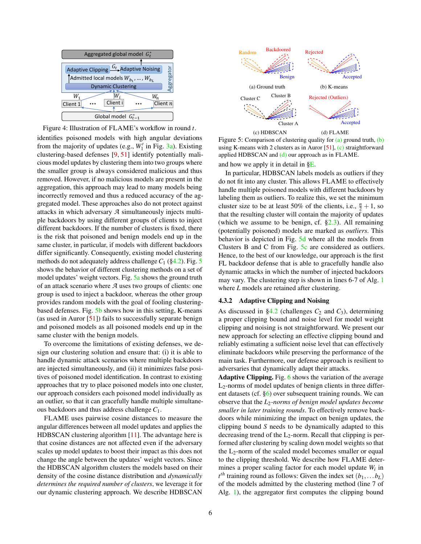<span id="page-5-1"></span>

Figure 4: Illustration of FLAME's workflow in round *t*.

identifies poisoned models with high angular deviations from the majority of updates (e.g.,  $W_1'$  in Fig. [3a\)](#page-4-3). Existing clustering-based defenses [\[9,](#page-13-2) [51\]](#page-15-5) identify potentially malicious model updates by clustering them into two groups where the smaller group is always considered malicious and thus removed. However, if no malicious models are present in the aggregation, this approach may lead to many models being incorrectly removed and thus a reduced accuracy of the aggregated model. These approaches also do not protect against attacks in which adversary *A* simultaneously injects multiple backdoors by using different groups of clients to inject different backdoors. If the number of clusters is fixed, there is the risk that poisoned and benign models end up in the same cluster, in particular, if models with different backdoors differ significantly. Consequently, existing model clustering methods do not adequately address challenge  $C_1$  ([§4.2\)](#page-3-3). Fig. [5](#page-5-2) shows the behavior of different clustering methods on a set of model updates' weight vectors. Fig. [5a](#page-5-3) shows the ground truth of an attack scenario where *A* uses two groups of clients: one group is used to inject a backdoor, whereas the other group provides random models with the goal of fooling clusteringbased defenses. Fig. [5b](#page-5-4) shows how in this setting, K-means (as used in Auror [\[51\]](#page-15-5)) fails to successfully separate benign and poisoned models as all poisoned models end up in the same cluster with the benign models.

To overcome the limitations of existing defenses, we design our clustering solution and ensure that: (i) it is able to handle dynamic attack scenarios where multiple backdoors are injected simultaneously, and (ii) it minimizes false positives of poisoned model identification. In contrast to existing approaches that try to place poisoned models into one cluster, our approach considers each poisoned model individually as an outlier, so that it can gracefully handle multiple simultaneous backdoors and thus address challenge *C*1.

FLAME uses pairwise cosine distances to measure the angular differences between all model updates and applies the HDBSCAN clustering algorithm [\[11\]](#page-14-7). The advantage here is that cosine distances are not affected even if the adversary scales up model updates to boost their impact as this does not change the angle between the updates' weight vectors. Since the HDBSCAN algorithm clusters the models based on their density of the cosine distance distribution and *dynamically determines the required number of clusters*, we leverage it for our dynamic clustering approach. We describe HDBSCAN

<span id="page-5-5"></span><span id="page-5-4"></span><span id="page-5-3"></span><span id="page-5-2"></span>

<span id="page-5-6"></span>Figure 5: Comparison of clustering quality for [\(a\)](#page-5-3) ground truth, [\(b\)](#page-5-4) using K-means with 2 clusters as in Auror [\[51\]](#page-15-5), [\(c\)](#page-5-5) straightforward applied HDBSCAN and  $(d)$  our approach as in FLAME.

and how we apply it in detail in [§E.](#page-17-1)

In particular, HDBSCAN labels models as outliers if they do not fit into any cluster. This allows FLAME to effectively handle multiple poisoned models with different backdoors by labeling them as outliers. To realize this, we set the minimum cluster size to be at least 50% of the clients, i.e.,  $\frac{n}{2} + 1$ , so that the resulting cluster will contain the majority of updates (which we assume to be benign, cf.  $\S2.3$ ). All remaining (potentially poisoned) models are marked as *outliers*. This behavior is depicted in Fig. [5d](#page-5-6) where all the models from Clusters B and C from Fig. [5c](#page-5-5) are considered as outliers. Hence, to the best of our knowledge, our approach is the first FL backdoor defense that is able to gracefully handle also dynamic attacks in which the number of injected backdoors may vary. The clustering step is shown in lines 6-7 of Alg. [1](#page-4-6) where *L* models are retained after clustering.

#### <span id="page-5-0"></span>4.3.2 Adaptive Clipping and Noising

As discussed in  $\S 4.2$  (challenges  $C_2$  and  $C_3$ ), determining a proper clipping bound and noise level for model weight clipping and noising is not straightforward. We present our new approach for selecting an effective clipping bound and reliably estimating a sufficient noise level that can effectively eliminate backdoors while preserving the performance of the main task. Furthermore, our defense approach is resilient to adversaries that dynamically adapt their attacks.

Adaptive Clipping. Fig. [6](#page-6-1) shows the variation of the average L2-norms of model updates of benign clients in three different datasets (cf. [§6\)](#page-9-2) over subsequent training rounds. We can observe that the *L*2*-norms of benign model updates become smaller in later training rounds*. To effectively remove backdoors while minimizing the impact on benign updates, the clipping bound *S* needs to be dynamically adapted to this decreasing trend of the  $L_2$ -norm. Recall that clipping is performed after clustering by scaling down model weights so that the  $L_2$ -norm of the scaled model becomes smaller or equal to the clipping threshold. We describe how FLAME determines a proper scaling factor for each model update *W<sup>i</sup>* in  $t^{th}$  training round as follows: Given the index set  $(b_1,...b_L)$ of the models admitted by the clustering method (line 7 of Alg. [1\)](#page-4-6), the aggregator first computes the clipping bound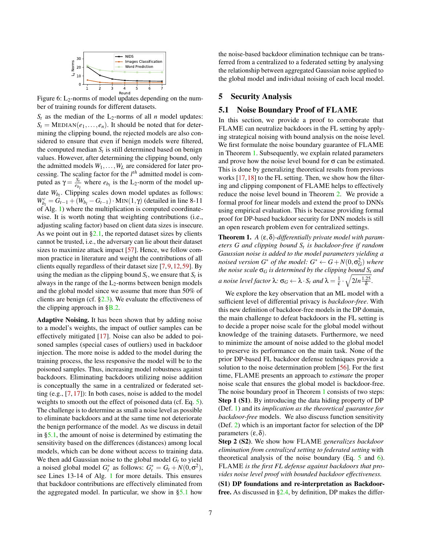<span id="page-6-1"></span>

Figure 6:  $L_2$ -norms of model updates depending on the number of training rounds for different datasets.

 $S_t$  as the median of the  $L_2$ -norms of all *n* model updates:  $S_t = \text{MEDIAN}(e_1, \ldots, e_n)$ . It should be noted that for determining the clipping bound, the rejected models are also considered to ensure that even if benign models were filtered, the computed median  $S_t$  is still determined based on benign values. However, after determining the clipping bound, only the admitted models  $W_1, \ldots, W_L$  are considered for later processing. The scaling factor for the *l th* admitted model is computed as  $\gamma = \frac{S_t}{e_{b_l}}$  where  $e_{b_l}$  is the L<sub>2</sub>-norm of the model update *Wb<sup>l</sup>* . Clipping scales down model updates as follows:  $W_{b_l}^c = G_{t-1} + (W_{b_l} - G_{t-1}) \cdot \text{MIN}(1, \gamma)$  (detailed in line 8-11) of Alg. [1\)](#page-4-6) where the multiplication is computed coordinatewise. It is worth noting that weighting contributions (i.e., adjusting scaling factor) based on client data sizes is insecure. As we point out in  $\S2.1$ , the reported dataset sizes by clients cannot be trusted, i.e., the adversary can lie about their dataset sizes to maximize attack impact [\[57\]](#page-15-3). Hence, we follow common practice in literature and weight the contributions of all clients equally regardless of their dataset size [\[7,](#page-13-0)[9,](#page-13-2)[12,](#page-14-2)[59\]](#page-15-4). By using the median as the clipping bound  $S_t$ , we ensure that  $S_t$  is always in the range of the  $L_2$ -norms between benign models and the global model since we assume that more than 50% of clients are benign (cf.  $\S2.3$ ). We evaluate the effectiveness of the clipping approach in [§B.2.](#page-16-0)

Adaptive Noising. It has been shown that by adding noise to a model's weights, the impact of outlier samples can be effectively mitigated [\[17\]](#page-14-10). Noise can also be added to poisoned samples (special cases of outliers) used in backdoor injection. The more noise is added to the model during the training process, the less responsive the model will be to the poisoned samples. Thus, increasing model robustness against backdoors. Eliminating backdoors utilizing noise addition is conceptually the same in a centralized or federated setting (e.g., [\[7,](#page-13-0) [17\]](#page-14-10)): In both cases, noise is added to the model weights to smooth out the effect of poisoned data (cf. Eq. [5\)](#page-7-0). The challenge is to determine as small a noise level as possible to eliminate backdoors and at the same time not deteriorate the benign performance of the model. As we discuss in detail in [§5.1,](#page-6-2) the amount of noise is determined by estimating the sensitivity based on the differences (distances) among local models, which can be done without access to training data. We then add Gaussian noise to the global model  $G_t$  to yield a noised global model  $G_t^*$  as follows:  $G_t^* = G_t + N(0, \sigma^2)$ , see Lines 13-14 of Alg. [1](#page-4-6) for more details. This ensures that backdoor contributions are effectively eliminated from the aggregated model. In particular, we show in [§5.1](#page-6-2) how

the noise-based backdoor elimination technique can be transferred from a centralized to a federated setting by analysing the relationship between aggregated Gaussian noise applied to the global model and individual noising of each local model.

#### <span id="page-6-0"></span>5 Security Analysis

#### <span id="page-6-2"></span>5.1 Noise Boundary Proof of FLAME

In this section, we provide a proof to corroborate that FLAME can neutralize backdoors in the FL setting by applying strategical noising with bound analysis on the noise level. We first formulate the noise boundary guarantee of FLAME in Theorem [1.](#page-6-3) Subsequently, we explain related parameters and prove how the noise level bound for  $\sigma$  can be estimated. This is done by generalizing theoretical results from previous works [\[17,](#page-14-10)[18\]](#page-14-9) to the FL setting. Then, we show how the filtering and clipping component of FLAME helps to effectively reduce the noise level bound in Theorem [2.](#page-8-0) We provide a formal proof for linear models and extend the proof to DNNs using empirical evaluation. This is because providing formal proof for DP-based backdoor security for DNN models is still an open research problem even for centralized settings.

<span id="page-6-3"></span>Theorem 1. *A* (ε,δ)*-differentially private model with parameters G and clipping bound S<sup>t</sup> is backdoor-free if random Gaussian noise is added to the model parameters yielding a noised version*  $G^*$  *of the model:*  $G^* \leftarrow G + N(0, \sigma_G^2)$  *where the noise scale* σ*<sup>G</sup> is determined by the clipping bound S<sup>t</sup> and a* noise level factor  $\lambda$ :  $\sigma_G \leftarrow \lambda \cdot S_t$  and  $\lambda = \frac{1}{\epsilon} \cdot \sqrt{2\ln \frac{1.25}{\delta}}$ .

We explore the key observation that an ML model with a sufficient level of differential privacy is *backdoor-free*. With this new definition of backdoor-free models in the DP domain, the main challenge to defeat backdoors in the FL setting is to decide a proper noise scale for the global model without knowledge of the training datasets. Furthermore, we need to minimize the amount of noise added to the global model to preserve its performance on the main task. None of the prior DP-based FL backdoor defense techniques provide a solution to the noise determination problem [\[56\]](#page-15-6). For the first time, FLAME presents an approach to *estimate* the proper noise scale that ensures the global model is backdoor-free. The noise boundary proof in Theorem [1](#page-6-3) consists of two steps: Step 1 (S1). By introducing the data hiding property of DP (Def. [1\)](#page-2-4) and its *implication as the theoretical guarantee for backdoor-free* models. We also discuss function sensitivity (Def. [2\)](#page-7-1) which is an important factor for selection of the DP parameters  $(ε, δ)$ .

Step 2 (S2). We show how FLAME *generalizes backdoor elimination from centralized setting to federated setting* with theoretical analysis of the noise boundary (Eq.  $5$  and  $6$ ). FLAME *is the first FL defense against backdoors that provides noise level proof with bounded backdoor effectiveness.*

(S1) DP foundations and re-interpretation as Backdoorfree. As discussed in [§2.4,](#page-2-5) by definition, DP makes the differ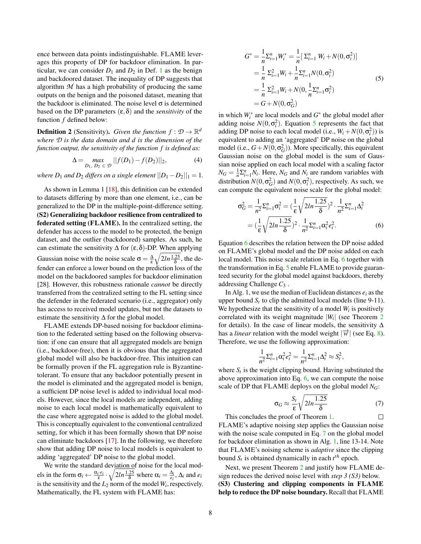ence between data points indistinguishable. FLAME leverages this property of DP for backdoor elimination. In particular, we can consider  $D_1$  $D_1$  and  $D_2$  in Def. 1 as the benign and backdoored dataset. The inequality of DP suggests that algorithm  $M$  has a high probability of producing the same outputs on the benign and the poisoned dataset, meaning that the backdoor is eliminated. The noise level  $\sigma$  is determined based on the DP parameters  $(\epsilon, \delta)$  and the *sensitivity* of the function *f* defined below:

<span id="page-7-1"></span>**Definition 2** (Sensitivity). *Given the function*  $f : \mathcal{D} \to \mathbb{R}^d$ *where D is the data domain and d is the dimension of the function output, the sensitivity of the function f is defined as:*

$$
\Delta = \max_{D_1, D_2 \in \mathcal{D}} ||f(D_1) - f(D_2)||_2,
$$
 (4)

*where*  $D_1$  *and*  $D_2$  *differs on a single element*  $||D_1 - D_2||_1 = 1$ *.* 

As shown in Lemma 1 [\[18\]](#page-14-9), this definition can be extended to datasets differing by more than one element, i.e., can be generalized to the DP in the multiple-point-difference setting. (S2) Generalizing backdoor resilience from centralized to federated setting (FLAME). In the centralized setting, the defender has access to the model to be protected, the benign dataset, and the outlier (backdoored) samples. As such, he can estimate the sensitivity  $\Delta$  for  $(\epsilon, \delta)$ -DP. When applying Gaussian noise with the noise scale  $\sigma = \frac{\Delta}{\epsilon}$  $\sqrt{2ln \frac{1.25}{\delta}}$ , the defender can enforce a lower bound on the prediction loss of the model on the backdoored samples for backdoor elimination [28]. However, this robustness rationale *cannot* be directly transferred from the centralized setting to the FL setting since the defender in the federated scenario (i.e., aggregator) only has access to received model updates, but not the datasets to estimate the sensitivity  $\Delta$  for the global model.

FLAME extends DP-based noising for backdoor elimination to the federated setting based on the following observation: if one can ensure that all aggregated models are benign (i.e., backdoor-free), then it is obvious that the aggregated global model will also be backdoor-free. This intuition can be formally proven if the FL aggregation rule is Byzantinetolerant. To ensure that any backdoor potentially present in the model is eliminated and the aggregated model is benign, a sufficient DP noise level is added to individual local models. However, since the local models are independent, adding noise to each local model is mathematically equivalent to the case where aggregated noise is added to the global model. This is conceptually equivalent to the conventional centralized setting, for which it has been formally shown that DP noise can eliminate backdoors [\[17\]](#page-14-10). In the following, we therefore show that adding DP noise to local models is equivalent to adding 'aggregated' DP noise to the global model.

We write the standard deviation of noise for the local models in the form  $\sigma_i \leftarrow \frac{\alpha_i \cdot e_i}{\epsilon} \cdot \sqrt{2ln \frac{1.25}{\delta}}$  where  $\alpha_i = \frac{\Delta_i}{e_i}$ ,  $\Delta_i$  and  $e_i$ is the sensitivity and the  $L_2$  norm of the model  $W_i$ , respectively. Mathematically, the FL system with FLAME has:

$$
G^* = \frac{1}{n} \Sigma_{i=1}^n W_i^* = \frac{1}{n} \left[ \Sigma_{i=1}^n W_i + N(0, \sigma_i^2) \right]
$$
  
=  $\frac{1}{n} \Sigma_{i=1}^2 W_i + \frac{1}{n} \Sigma_{i=1}^n N(0, \sigma_i^2)$   
=  $\frac{1}{n} \Sigma_{i=1}^2 W_i + N(0, \frac{1}{n} \Sigma_{i=1}^n \sigma_i^2)$   
=  $G + N(0, \sigma_G^2)$  (5)

<span id="page-7-4"></span>in which  $W_i^*$  are local models and  $G^*$  the global model after adding noise  $N(0, \sigma_i^2)$ . Equation [5](#page-7-0) represents the fact that adding DP noise to each local model (i.e.,  $W_i + N(0, \sigma_i^2)$ ) is equivalent to adding an 'aggregated' DP noise on the global model (i.e.,  $G + N(0, \sigma_G^2)$ ). More specifically, this equivalent Gaussian noise on the global model is the sum of Gaussian noise applied on each local model with a scaling factor  $N_G = \frac{1}{n} \sum_{i=1}^n N_i$ . Here,  $N_G$  and  $N_i$  are random variables with distribution  $N(0, \sigma_G^2)$  and  $N(0, \sigma_i^2)$ , respectively. As such, we can compute the equivalent noise scale for the global model:

<span id="page-7-2"></span>
$$
\sigma_G^2 = \frac{1}{n^2} \Sigma_{i=1}^n \sigma_i^2 = \left(\frac{1}{\epsilon} \sqrt{2\ln \frac{1.25}{\delta}}\right)^2 \cdot \frac{1}{n^2} \Sigma_{i=1}^n \Delta_i^2
$$

$$
= \left(\frac{1}{\epsilon} \sqrt{2\ln \frac{1.25}{\delta}}\right)^2 \cdot \frac{1}{n^2} \Sigma_{i=1}^n \alpha_i^2 e_i^2.
$$
(6)

Equation [6](#page-7-2) describes the relation between the DP noise added on FLAME's global model and the DP noise added on each local model. This noise scale relation in Eq. [6](#page-7-2) together with the transformation in Eq. [5](#page-7-0) enable FLAME to provide guaranteed security for the global model against backdoors, thereby addressing Challenge *C*<sup>3</sup> .

In Alg. 1, we use the median of Euclidean distances  $e_i$  as the upper bound  $S_t$  to clip the admitted local models (line 9-11). We hypothesize that the sensitivity of a model  $W_i$  is positively correlated with its weight magnitude |*W<sup>i</sup>* | (see Theorem [2](#page-8-0) for details). In the case of linear models, the sensitivity  $\Delta$ has a *linear* relation with the model weight  $|\vec{w}|$  (see Eq. [8\)](#page-8-1). Therefore, we use the following approximation:

$$
\frac{1}{n^2} \Sigma_{i=1}^n \alpha_i^2 e_i^2 = \frac{1}{n^2} \Sigma_{i=1}^n \Delta_i^2 \approx S_t^2,
$$

where  $S_t$  is the weight clipping bound. Having substituted the above approximation into Eq.  $6$ , we can compute the noise scale of DP that FLAME deploys on the global model *NG*:

<span id="page-7-3"></span>
$$
\sigma_G \approx \frac{S_t}{\varepsilon} \sqrt{2ln \frac{1.25}{\delta}} \tag{7}
$$

This concludes the proof of Theorem [1.](#page-6-3)  $\Box$ FLAME's adaptive noising step applies the Gaussian noise with the noise scale computed in Eq. [7](#page-7-3) on the global model for backdoor elimination as shown in Alg. [1,](#page-4-6) line 13-14. Note that FLAME's noising scheme is *adaptive* since the clipping bound  $S_t$  is obtained dynamically in each  $t^{th}$  epoch.

<span id="page-7-0"></span>Next, we present Theorem [2](#page-8-0) and justify how FLAME design reduces the derived noise level with *step 3 (S3)* below. (S3) Clustering and clipping components in FLAME help to reduce the DP noise boundary. Recall that FLAME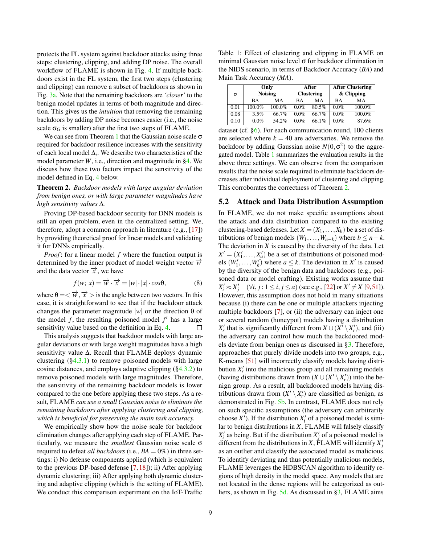protects the FL system against backdoor attacks using three steps: clustering, clipping, and adding DP noise. The overall workflow of FLAME is shown in Fig. [4.](#page-5-1) If multiple backdoors exist in the FL system, the first two steps (clustering and clipping) can remove a subset of backdoors as shown in Fig. [3a.](#page-4-3) Note that the remaining backdoors are *'closer'* to the benign model updates in terms of both magnitude and direction. This gives us the *intuition* that removing the remaining backdoors by adding DP noise becomes easier (i.e., the noise scale  $\sigma_G$  is smaller) after the first two steps of FLAME.

We can see from Theorem [1](#page-6-3) that the Gaussian noise scale  $\sigma$ required for backdoor resilience increases with the sensitivity of each local model ∆*<sup>i</sup>* . We describe two characteristics of the model parameter *W*, i.e., direction and magnitude in [§4.](#page-3-4) We discuss how these two factors impact the sensitivity of the model defined in Eq. [4](#page-7-4) below.

<span id="page-8-0"></span>Theorem 2. *Backdoor models with large angular deviation from benign ones, or with large parameter magnitudes have high sensitivity values* ∆*.*

Proving DP-based backdoor security for DNN models is still an open problem, even in the centralized setting. We, therefore, adopt a common approach in literature (e.g., [\[17\]](#page-14-10)) by providing theoretical proof for linear models and validating it for DNNs empirically.

*Proof*: for a linear model *f* where the function output is determined by the inner product of model weight vector  $\vec{w}$ and the data vector  $\vec{x}$ , we have

<span id="page-8-1"></span>
$$
f(w; x) = \overrightarrow{w} \cdot \overrightarrow{x} = |w| \cdot |x| \cdot cos\theta,
$$
 (8)

where  $\theta = \langle \overrightarrow{w}, \overrightarrow{x} \rangle$  is the angle between two vectors. In this case, it is straightforward to see that if the backdoor attack changes the parameter magnitude  $|w|$  or the direction  $\theta$  of the model  $f$ , the resulting poisoned model  $f'$  has a large sensitivity value based on the definition in Eq. [4.](#page-7-4)  $\Box$ 

This analysis suggests that backdoor models with large angular deviations or with large weight magnitudes have a high sensitivity value ∆. Recall that FLAME deploys dynamic clustering  $(\S 4.3.1)$  to remove poisoned models with large cosine distances, and employs adaptive clipping  $(\S 4.3.2)$  to remove poisoned models with large magnitudes. Therefore, the sensitivity of the remaining backdoor models is lower compared to the one before applying these two steps. As a result, FLAME *can use a small Gaussian noise to eliminate the remaining backdoors after applying clustering and clipping, which is beneficial for preserving the main task accuracy.*

We empirically show how the noise scale for backdoor elimination changes after applying each step of FLAME. Particularly, we measure the *smallest* Gaussian noise scale σ required to defeat *all backdoors* (i.e.,  $BA = 0\%$ ) in three settings: i) No defense components applied (which is equivalent to the previous DP-based defense [\[7,](#page-13-0) [18\]](#page-14-9)); ii) After applying dynamic clustering; iii) After applying both dynamic clustering and adaptive clipping (which is the setting of FLAME). We conduct this comparison experiment on the IoT-Traffic

<span id="page-8-2"></span>Table 1: Effect of clustering and clipping in FLAME on minimal Gaussian noise level σ for backdoor elimination in the NIDS scenario, in terms of Backdoor Accuracy (*BA*) and Main Task Accuracy (*MA*).

| σ    | Only<br><b>Noising</b> |        |      | After<br><b>Clustering</b> | <b>After Clustering</b><br>& Clipping |        |
|------|------------------------|--------|------|----------------------------|---------------------------------------|--------|
|      | BA                     | MA     | ВA   | MA                         | ВA                                    | MA     |
| 0.01 | 100.0%                 | 100.0% | 0.0% | 80.5%                      | 0.0%                                  | 100.0% |
| 0.08 | 3.5%                   | 66.7%  | 0.0% | 66.7%                      | $0.0\%$                               | 100.0% |
| 0.10 | $0.0\%$                | 54.2%  | 0.0% | 66.1%                      | $0.0\%$                               | 87.6%  |

dataset (cf.  $\S6$ ). For each communication round, 100 clients are selected where  $k = 40$  are adversaries. We remove the backdoor by adding Gaussian noise  $N(0, \sigma^2)$  to the aggregated model. Table [1](#page-8-2) summarizes the evaluation results in the above three settings. We can observe from the comparison results that the noise scale required to eliminate backdoors decreases after individual deployment of clustering and clipping. This corroborates the correctness of Theorem [2.](#page-8-0)

#### 5.2 Attack and Data Distribution Assumption

In FLAME, we do not make specific assumptions about the attack and data distribution compared to the existing clustering-based defenses. Let  $X = (X_1, \ldots, X_b)$  be a set of distributions of benign models  $(W_1, ..., W_{n-k})$  where *b* ≤ *n*−*k*. The deviation in *X* is caused by the diversity of the data. Let  $X' = (X'_1, \ldots, X'_a)$  be a set of distributions of poisoned models  $(W'_1, \ldots, W'_k)$  where  $a \leq k$ . The deviation in X' is caused by the diversity of the benign data and backdoors (e.g., poisoned data or model crafting). Existing works assume that  $X_i' \approx X_j' \quad (\forall i, j : 1 \le i, j \le a)$  (see e.g., [\[22\]](#page-14-3) or  $X' \ne X$  [\[9,](#page-13-2)[51\]](#page-15-5)). However, this assumption does not hold in many situations because (i) there can be one or multiple attackers injecting multiple backdoors [\[7\]](#page-13-0), or (ii) the adversary can inject one or several random (honeypot) models having a distribution  $X'_{r}$  that is significantly different from  $X \cup (X' \setminus X'_{r})$ , and (iii) the adversary can control how much the backdoored models deviate from benign ones as discussed in [§3.](#page-2-2) Therefore, approaches that purely divide models into two groups, e.g., K-means [\[51\]](#page-15-5) will incorrectly classify models having distribution  $X'_r$  into the malicious group and all remaining models (having distributions drawn from  $(X \cup (X' \setminus X'_r))$  into the benign group. As a result, all backdoored models having distributions drawn from  $(X' \setminus X'_r)$  are classified as benign, as demonstrated in Fig. [5b.](#page-5-4) In contrast, FLAME does not rely on such specific assumptions (the adversary can arbitrarily choose  $X'$ ). If the distribution  $X'_i$  of a poisoned model is similar to benign distributions in *X*, FLAME will falsely classify  $X_i'$  as being. But if the distribution  $X_j'$  of a poisoned model is different from the distributions in *X*,  $\text{FLAME}$  will identify  $X'_j$ as an outlier and classify the associated model as malicious. To identify deviating and thus potentially malicious models, FLAME leverages the HDBSCAN algorithm to identify regions of high density in the model space. Any models that are not located in the dense regions will be categorized as outliers, as shown in Fig. [5d.](#page-5-6) As discussed in [§3,](#page-2-2) FLAME aims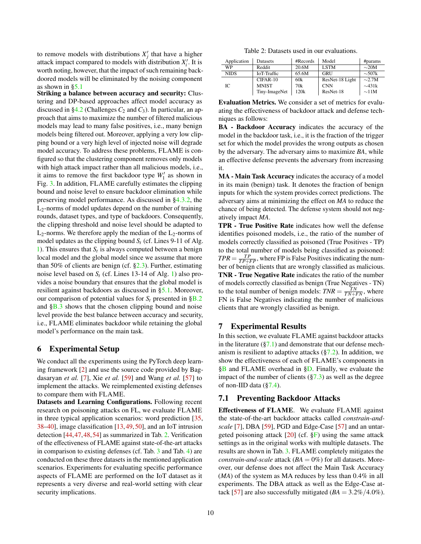to remove models with distributions  $X'_j$  that have a higher attack impact compared to models with distribution  $X_i'$ . It is worth noting, however, that the impact of such remaining backdoored models will be eliminated by the noising component as shown in  $\S$ 5.1

Striking a balance between accuracy and security: Clustering and DP-based approaches affect model accuracy as discussed in  $\S 4.2$  (Challenges  $C_2$  and  $C_3$ ). In particular, an approach that aims to maximize the number of filtered malicious models may lead to many false positives, i.e., many benign models being filtered out. Moreover, applying a very low clipping bound or a very high level of injected noise will degrade model accuracy. To address these problems, FLAME is configured so that the clustering component removes only models with high attack impact rather than all malicious models, i.e., it aims to remove the first backdoor type  $W_1'$  as shown in Fig. [3.](#page-4-1) In addition, FLAME carefully estimates the clipping bound and noise level to ensure backdoor elimination while preserving model performance. As discussed in [§4.3.2,](#page-5-0) the  $L_2$ -norms of model updates depend on the number of training rounds, dataset types, and type of backdoors. Consequently, the clipping threshold and noise level should be adapted to  $L_2$ -norms. We therefore apply the median of the  $L_2$ -norms of model updates as the clipping bound *S<sup>t</sup>* (cf. Lines 9-11 of Alg. [1\)](#page-4-6). This ensures that  $S_t$  is always computed between a benign local model and the global model since we assume that more than 50% of clients are benign (cf.  $\S2.3$ ). Further, estimating noise level based on *S<sup>t</sup>* (cf. Lines 13-14 of Alg. [1\)](#page-4-6) also provides a noise boundary that ensures that the global model is resilient against backdoors as discussed in [§5.1.](#page-6-2) Moreover, our comparison of potential values for  $S_t$  presented in  $\S$ B.2 and [§B.3](#page-16-1) shows that the chosen clipping bound and noise level provide the best balance between accuracy and security, i.e., FLAME eliminates backdoor while retaining the global model's performance on the main task.

# <span id="page-9-2"></span>6 Experimental Setup

We conduct all the experiments using the PyTorch deep learning framework [\[2\]](#page-13-4) and use the source code provided by Bagdasaryan *et al.* [\[7\]](#page-13-0), Xie *et al.* [\[59\]](#page-15-4) and Wang *et al.* [\[57\]](#page-15-3) to implement the attacks. We reimplemented existing defenses to compare them with FLAME.

Datasets and Learning Configurations. Following recent research on poisoning attacks on FL, we evaluate FLAME in three typical application scenarios: word prediction [\[35,](#page-14-11) [38–](#page-14-1)[40\]](#page-14-12), image classification [\[13,](#page-14-13) [49,](#page-15-0) [50\]](#page-15-7), and an IoT intrusion detection [\[44,](#page-15-1)[47,](#page-15-9)[48,](#page-15-11)[54\]](#page-15-10) as summarized in Tab. [2.](#page-9-3) Verification of the effectiveness of FLAME against state-of-the-art attacks in comparison to existing defenses (cf. Tab. [3](#page-10-0) and Tab. [4\)](#page-10-1) are conducted on these three datasets in the mentioned application scenarios. Experiments for evaluating specific performance aspects of FLAME are performed on the IoT dataset as it represents a very diverse and real-world setting with clear security implications.

Table 2: Datasets used in our evaluations.

<span id="page-9-3"></span>

| Application | Datasets      | #Records | Model           | #params     |
|-------------|---------------|----------|-----------------|-------------|
| WP          | Reddit        | 20.6M    | <b>LSTM</b>     | $\sim$ 20M  |
| <b>NIDS</b> | IoT-Traffic   | 65.6M    | <b>GRU</b>      | $\sim 507k$ |
|             | $CIFAR-10$    | 60k      | ResNet-18 Light | $\sim$ 2.7M |
| IС          | <b>MNIST</b>  | 70k      | <b>CNN</b>      | $\sim$ 431k |
|             | Tiny-ImageNet | 120k     | ResNet-18       | $\sim$ 11M  |

Evaluation Metrics. We consider a set of metrics for evaluating the effectiveness of backdoor attack and defense techniques as follows:

BA - Backdoor Accuracy indicates the accuracy of the model in the backdoor task, i.e., it is the fraction of the trigger set for which the model provides the wrong outputs as chosen by the adversary. The adversary aims to maximize *BA*, while an effective defense prevents the adversary from increasing it.

MA - Main Task Accuracy indicates the accuracy of a model in its main (benign) task. It denotes the fraction of benign inputs for which the system provides correct predictions. The adversary aims at minimizing the effect on *MA* to reduce the chance of being detected. The defense system should not negatively impact *MA*.

TPR - True Positive Rate indicates how well the defense identifies poisoned models, i.e., the ratio of the number of models correctly classified as poisoned (True Positives - TP) to the total number of models being classified as poisoned:  $TPR = \frac{TP}{TP + FP}$ , where FP is False Positives indicating the number of benign clients that are wrongly classified as malicious. TNR - True Negative Rate indicates the ratio of the number of models correctly classified as benign (True Negatives - TN) to the total number of benign models:  $TNR = \frac{TN}{TN + FN}$ , where FN is False Negatives indicating the number of malicious clients that are wrongly classified as benign.

#### <span id="page-9-0"></span>7 Experimental Results

In this section, we evaluate FLAME against backdoor attacks in the literature  $(\frac{8}{7.1})$  and demonstrate that our defense mechanism is resilient to adaptive attacks  $(\frac{87.2}{})$ . In addition, we show the effectiveness of each of FLAME's components in [§B](#page-16-2) and FLAME overhead in [§D.](#page-17-2) Finally, we evaluate the impact of the number of clients  $(\S7.3)$  as well as the degree of non-IID data ([§7.4\)](#page-11-1).

# <span id="page-9-1"></span>7.1 Preventing Backdoor Attacks

Effectiveness of FLAME. We evaluate FLAME against the state-of-the-art backdoor attacks called *constrain-andscale* [\[7\]](#page-13-0), DBA [\[59\]](#page-15-4), PGD and Edge-Case [\[57\]](#page-15-3) and an untargeted poisoning attack  $[20]$  (cf.  $\S$ F) using the same attack settings as in the original works with multiple datasets. The results are shown in Tab. [3.](#page-10-0) FLAME completely mitigates the *constrain-and-scale* attack ( $BA = 0\%$ ) for all datasets. Moreover, our defense does not affect the Main Task Accuracy (*MA*) of the system as MA reduces by less than 0.4% in all experiments. The DBA attack as well as the Edge-Case at-tack [\[57\]](#page-15-3) are also successfully mitigated  $(BA = 3.2\%/4.0\%).$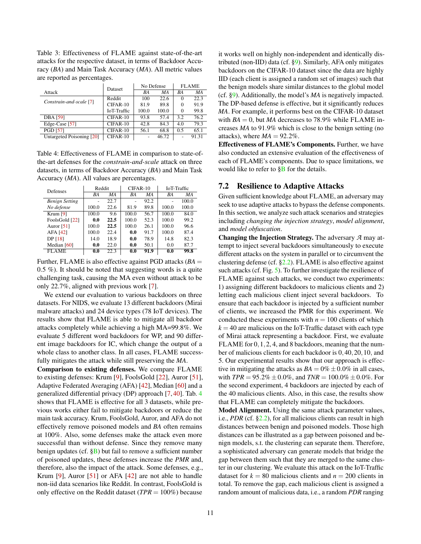<span id="page-10-0"></span>Table 3: Effectiveness of FLAME against state-of-the-art attacks for the respective dataset, in terms of Backdoor Accuracy (*BA*) and Main Task Accuracy (*MA*). All metric values are reported as percentages.

|                           | Dataset            |       | No Defense | <b>FLAME</b> |       |
|---------------------------|--------------------|-------|------------|--------------|-------|
| Attack                    |                    | ВA    | ΜA         | ВA           | ΜA    |
| Constrain-and-scale [7]   | Reddit             | 100   | 22.6       | $\Omega$     | 22.3  |
|                           | $CIFAR-10$         | 81.9  | 89.8       | $\Omega$     | 91.9  |
|                           | <b>IoT-Traffic</b> | 100.0 | 100.0      | $\Omega$     | 99.8  |
| <b>DBA</b> [59]           | $CIFAR-10$         | 93.8  | 57.4       | 3.2          | 76.2  |
| Edge-Case [57]            | $CIFAR-10$         | 42.8  | 84.3       | 4.0          | 79.3  |
| <b>PGD</b> [57]           | $CIFAR-10$         | 56.1  | 68.8       | 0.5          | 65.1  |
| Untargeted Poisoning [20] | CIFAR-10           |       | 46.72      |              | 91.31 |

<span id="page-10-1"></span>Table 4: Effectiveness of FLAME in comparison to state-ofthe-art defenses for the *constrain-and-scale* attack on three datasets, in terms of Backdoor Accuracy (*BA*) and Main Task Accuracy (*MA*). All values are percentages.

| <b>Defenses</b>       | Reddit |      | $CIFAR-10$ |      | <b>IoT-Traffic</b> |       |
|-----------------------|--------|------|------------|------|--------------------|-------|
|                       | ВA     | ΜA   | ВA         | MA   | BA                 | ΜA    |
| <b>Benign Setting</b> |        | 22.7 |            | 92.2 |                    | 100.0 |
| No defense            | 100.0  | 22.6 | 81.9       | 89.8 | 100.0              | 100.0 |
| Krum $[9]$            | 100.0  | 9.6  | 100.0      | 56.7 | 100.0              | 84.0  |
| FoolsGold [22]        | 0.0    | 22.5 | 100.0      | 52.3 | 100.0              | 99.2  |
| Auror $[51]$          | 100.0  | 22.5 | 100.0      | 26.1 | 100.0              | 96.6  |
| AFA [42]              | 100.0  | 22.4 | 0.0        | 91.7 | 100.0              | 87.4  |
| DP [18]               | 14.0   | 18.9 | 0.0        | 78.9 | 14.8               | 82.3  |
| Median $[60]$         | 0.0    | 22.0 | 0.0        | 50.1 | 0.0                | 87.7  |
| <b>FLAME</b>          | 0.0    | 22.3 | 0.0        | 91.9 | 0.0                | 99.8  |

Further, FLAME is also effective against PGD attacks (*BA* = 0.5 %). It should be noted that suggesting words is a quite challenging task, causing the MA even without attack to be only 22.7%, aligned with previous work [\[7\]](#page-13-0).

We extend our evaluation to various backdoors on three datasets. For NIDS, we evaluate 13 different backdoors (Mirai malware attacks) and 24 device types (78 IoT devices). The results show that FLAME is able to mitigate all backdoor attacks completely while achieving a high MA=99.8%. We evaluate 5 different word backdoors for WP, and 90 different image backdoors for IC, which change the output of a whole class to another class. In all cases, FLAME successfully mitigates the attack while still preserving the *MA*.

Comparison to existing defenses. We compare FLAME to existing defenses: Krum [\[9\]](#page-13-2), FoolsGold [\[22\]](#page-14-3), Auror [\[51\]](#page-15-5), Adaptive Federated Averaging (AFA) [\[42\]](#page-14-4), Median [\[60\]](#page-15-8) and a generalized differential privacy (DP) approach [\[7,](#page-13-0) [40\]](#page-14-12). Tab. [4](#page-10-1) shows that FLAME is effective for all 3 datasets, while previous works either fail to mitigate backdoors or reduce the main task accuracy. Krum, FoolsGold, Auror, and AFA do not effectively remove poisoned models and *BA* often remains at 100%. Also, some defenses make the attack even more successful than without defense. Since they remove many benign updates (cf.  $\S$ B) but fail to remove a sufficient number of poisoned updates, these defenses increase the *PMR* and, therefore, also the impact of the attack. Some defenses, e.g., Krum [\[9\]](#page-13-2), Auror [\[51\]](#page-15-5) or AFA [\[42\]](#page-14-4) are not able to handle non-iid data scenarios like Reddit. In contrast, FoolsGold is only effective on the Reddit dataset (*TPR* = 100%) because

it works well on highly non-independent and identically distributed (non-IID) data (cf. [§9\)](#page-12-1). Similarly, AFA only mitigates backdoors on the CIFAR-10 dataset since the data are highly IID (each client is assigned a random set of images) such that the benign models share similar distances to the global model (cf. [§9\)](#page-12-1). Additionally, the model's *MA* is negatively impacted. The DP-based defense is effective, but it significantly reduces *MA*. For example, it performs best on the CIFAR-10 dataset with  $BA = 0$ , but *MA* decreases to 78.9% while FLAME increases *MA* to 91.9% which is close to the benign setting (no attacks), where  $MA = 92.2\%$ .

Effectiveness of FLAME's Components. Further, we have also conducted an extensive evaluation of the effectiveness of each of FLAME's components. Due to space limitations, we would like to refer to  $\S$ B for the details.

# <span id="page-10-2"></span>7.2 Resilience to Adaptive Attacks

Given sufficient knowledge about FLAME, an adversary may seek to use adaptive attacks to bypass the defense components. In this section, we analyze such attack scenarios and strategies including *changing the injection strategy*, *model alignment*, and *model obfuscation*.

Changing the Injection Strategy. The adversary *A* may attempt to inject several backdoors simultaneously to execute different attacks on the system in parallel or to circumvent the clustering defense (cf.  $\S2.2$ ). FLAME is also effective against such attacks (cf. Fig. [5\)](#page-5-2). To further investigate the resilience of FLAME against such attacks, we conduct two experiments: 1) assigning different backdoors to malicious clients and 2) letting each malicious client inject several backdoors. To ensure that each backdoor is injected by a sufficient number of clients, we increased the PMR for this experiment. We conducted these experiments with  $n = 100$  clients of which  $k = 40$  are malicious on the IoT-Traffic dataset with each type of Mirai attack representing a backdoor. First, we evaluate FLAME for 0,1,2, 4, and 8 backdoors, meaning that the number of malicious clients for each backdoor is 0,40,20,10, and 5. Our experimental results show that our approach is effective in mitigating the attacks as  $BA = 0\% \pm 0.0\%$  in all cases, with  $TPR = 95.2\% \pm 0.0\%$ , and  $TNR = 100.0\% \pm 0.0\%$ . For the second experiment, 4 backdoors are injected by each of the 40 malicious clients. Also, in this case, the results show that FLAME can completely mitigate the backdoors.

Model Alignment. Using the same attack parameter values, i.e., *PDR* (cf. [§2.2\)](#page-1-1), for all malicious clients can result in high distances between benign and poisoned models. Those high distances can be illustrated as a gap between poisoned and benign models, s.t. the clustering can separate them. Therefore, a sophisticated adversary can generate models that bridge the gap between them such that they are merged to the same cluster in our clustering. We evaluate this attack on the IoT-Traffic dataset for  $k = 80$  malicious clients and  $n = 200$  clients in total. To remove the gap, each malicious client is assigned a random amount of malicious data, i.e., a random *PDR* ranging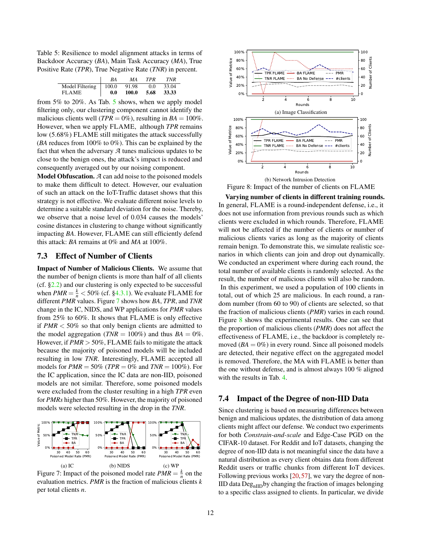<span id="page-11-2"></span>Table 5: Resilience to model alignment attacks in terms of Backdoor Accuracy (*BA*), Main Task Accuracy (*MA*), True Positive Rate (*TPR*), True Negative Rate (*TNR*) in percent.

|                               | ВA  | MA    | <b>TPR</b> | <b>TNR</b> |
|-------------------------------|-----|-------|------------|------------|
| Model Filtering $\vert$ 100.0 |     | 91.98 | 0.0        | 33.04      |
| <b>FLAME</b>                  | 0.0 | 100.0 | 5.68       | 33.33      |

from 5% to 20%. As Tab. [5](#page-11-2) shows, when we apply model filtering only, our clustering component cannot identify the malicious clients well ( $TPR = 0\%$ ), resulting in  $BA = 100\%$ . However, when we apply FLAME, although *TPR* remains low (5.68%) FLAME still mitigates the attack successfully (*BA* reduces from 100% to 0%). This can be explained by the fact that when the adversary *A* tunes malicious updates to be close to the benign ones, the attack's impact is reduced and consequently averaged out by our noising component.

Model Obfuscation. *A* can add noise to the poisoned models to make them difficult to detect. However, our evaluation of such an attack on the IoT-Traffic dataset shows that this strategy is not effective. We evaluate different noise levels to determine a suitable standard deviation for the noise. Thereby, we observe that a noise level of 0.034 causes the models' cosine distances in clustering to change without significantly impacting *BA*. However, FLAME can still efficiently defend this attack: *BA* remains at 0% and *MA* at 100%.

#### <span id="page-11-0"></span>7.3 Effect of Number of Clients

Impact of Number of Malicious Clients. We assume that the number of benign clients is more than half of all clients (cf.  $\S 2.2$ ) and our clustering is only expected to be successful when  $PMR = \frac{k}{n} < 50\%$  (cf. [§4.3.1\)](#page-4-2). We evaluate FLAME for different *PMR* values. Figure [7](#page-11-3) shows how *BA*, *TPR*, and *TNR* change in the IC, NIDS, and WP applications for *PMR* values from 25% to 60%. It shows that FLAME is only effective if *PMR* < 50% so that only benign clients are admitted to the model aggregation ( $TNR = 100\%$ ) and thus  $BA = 0\%$ . However, if *PMR* > 50%, FLAME fails to mitigate the attack because the majority of poisoned models will be included resulting in low *TNR*. Interestingly, FLAME accepted all models for *PMR* = 50% (*TPR* = 0% and *TNR* = 100%). For the IC application, since the IC data are non-IID, poisoned models are not similar. Therefore, some poisoned models were excluded from the cluster resulting in a high *TPR* even for *PMRs* higher than 50%. However, the majority of poisoned models were selected resulting in the drop in the *TNR*.

<span id="page-11-3"></span>

Figure 7: Impact of the poisoned model rate  $PMR = \frac{k}{n}$  on the evaluation metrics. *PMR* is the fraction of malicious clients *k* per total clients *n*.

<span id="page-11-4"></span>

Figure 8: Impact of the number of clients on FLAME

Varying number of clients in different training rounds. In general, FLAME is a round-independent defense, i.e., it does not use information from previous rounds such as which clients were excluded in which rounds. Therefore, FLAME will not be affected if the number of clients or number of malicious clients varies as long as the majority of clients remain benign. To demonstrate this, we simulate realistic scenarios in which clients can join and drop out dynamically. We conducted an experiment where during each round, the total number of available clients is randomly selected. As the result, the number of malicious clients will also be random. In this experiment, we used a population of 100 clients in total, out of which 25 are malicious. In each round, a random number (from 60 to 90) of clients are selected, so that the fraction of malicious clients (*PMR*) varies in each round. Figure [8](#page-11-4) shows the experimental results. One can see that the proportion of malicious clients (*PMR*) does not affect the effectiveness of FLAME, i.e., the backdoor is completely removed  $(BA = 0\%)$  in every round. Since all poisoned models are detected, their negative effect on the aggregated model is removed. Therefore, the MA with FLAME is better than the one without defense, and is almost always 100 % aligned with the results in Tab. [4.](#page-10-1)

# <span id="page-11-1"></span>7.4 Impact of the Degree of non-IID Data

Since clustering is based on measuring differences between benign and malicious updates, the distribution of data among clients might affect our defense. We conduct two experiments for both *Constrain-and-scale* and Edge-Case PGD on the CIFAR-10 dataset. For Reddit and IoT datasets, changing the degree of non-IID data is not meaningful since the data have a natural distribution as every client obtains data from different Reddit users or traffic chunks from different IoT devices. Following previous works [\[20,](#page-14-14)[57\]](#page-15-3), we vary the degree of non- $IID$  data  $Deg<sub>nIID</sub>$  by changing the fraction of images belonging to a specific class assigned to clients. In particular, we divide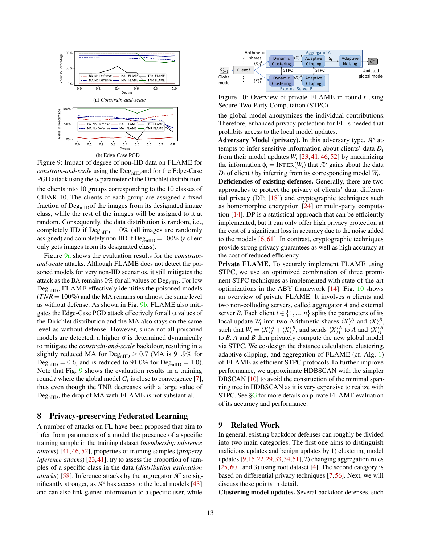<span id="page-12-4"></span><span id="page-12-2"></span>

<span id="page-12-3"></span>Figure 9: Impact of degree of non-IID data on FLAME for *constrain-and-scale* using the Deg<sub>nIID</sub> and for the Edge-Case PGD attack using the  $\alpha$  parameter of the Dirichlet distribution.

the clients into 10 groups corresponding to the 10 classes of CIFAR-10. The clients of each group are assigned a fixed fraction of  $Deg<sub>nIID</sub>$  of the images from its designated image class, while the rest of the images will be assigned to it at random. Consequently, the data distribution is random, i.e., completely IID if  $Deg<sub>nIID</sub> = 0%$  (all images are randomly assigned) and completely non-IID if  $\text{Deg}_{\text{nIID}} = 100\%$  (a client only gets images from its designated class).

Figure [9a](#page-12-2) shows the evaluation results for the *constrainand-scale* attacks. Although FLAME does not detect the poisoned models for very non-IID scenarios, it still mitigates the attack as the BA remains  $0\%$  for all values of  $Deg<sub>nIID</sub>$ . For low  $Deg<sub>nIID</sub>$ , FLAME effectively identifies the poisoned models  $(TNR = 100\%)$  and the MA remains on almost the same level as without defense. As shown in Fig. [9b,](#page-12-3) FLAME also mitigates the Edge-Case PGD attack effectively for all  $\alpha$  values of the Dirichlet distribution and the MA also stays on the same level as without defense. However, since not all poisoned models are detected, a higher  $\sigma$  is determined dynamically to mitigate the *constrain-and-scale* backdoor, resulting in a slightly reduced MA for  $\text{Deg}_{\text{nIID}} \geq 0.7$  (MA is 91.9% for  $\text{Deg}_{\text{nIID}} = 0.6$ , and is reduced to 91.0% for  $\text{Deg}_{\text{nIID}} = 1.0$ . Note that Fig. [9](#page-12-4) shows the evaluation results in a training round *t* where the global model *G<sup>t</sup>* is close to convergence [\[7\]](#page-13-0), thus even though the TNR decreases with a large value of  $Deg<sub>nIID</sub>$ , the drop of MA with FLAME is not substantial.

#### <span id="page-12-0"></span>8 Privacy-preserving Federated Learning

A number of attacks on FL have been proposed that aim to infer from parameters of a model the presence of a specific training sample in the training dataset (*membership inference attacks*) [\[41,](#page-14-15) [46,](#page-15-12) [52\]](#page-15-13), properties of training samples (*property inference attacks*) [\[23,](#page-14-16)[41\]](#page-14-15), try to assess the proportion of samples of a specific class in the data (*distribution estimation attacks*) [\[58\]](#page-15-14). Inference attacks by the aggregator  $\mathcal{A}^s$  are significantly stronger, as  $A^s$  has access to the local models [\[43\]](#page-15-15) and can also link gained information to a specific user, while

<span id="page-12-5"></span>

Figure 10: Overview of private FLAME in round *t* using Secure-Two-Party Computation (STPC).

the global model anonymizes the individual contributions. Therefore, enhanced privacy protection for FL is needed that prohibits access to the local model updates.

Adversary Model (privacy). In this adversary type,  $\mathcal{A}^s$  attempts to infer sensitive information about clients' data *D<sup>i</sup>* from their model updates  $W_i$  [\[23,](#page-14-16) [41,](#page-14-15) [46,](#page-15-12) [52\]](#page-15-13) by maximizing the information  $\phi_i = \text{INFER}(W_i)$  that  $\mathcal{A}^s$  gains about the data  $D_i$  of client *i* by inferring from its corresponding model  $W_i$ .

Deficiencies of existing defenses. Generally, there are two approaches to protect the privacy of clients' data: differential privacy (DP; [\[18\]](#page-14-9)) and cryptographic techniques such as homomorphic encryption [\[24\]](#page-14-17) or multi-party computation [\[14\]](#page-14-18). DP is a statistical approach that can be efficiently implemented, but it can only offer high privacy protection at the cost of a significant loss in accuracy due to the noise added to the models [\[6,](#page-13-5) [61\]](#page-15-16). In contrast, cryptographic techniques provide strong privacy guarantees as well as high accuracy at the cost of reduced efficiency.

Private FLAME. To securely implement FLAME using STPC, we use an optimized combination of three prominent STPC techniques as implemented with state-of-the-art optimizations in the ABY framework [\[14\]](#page-14-18). Fig. [10](#page-12-5) shows an overview of private FLAME. It involves *n* clients and two non-colluding servers, called aggregator *A* and external server *B*. Each client  $i \in \{1, ..., n\}$  splits the parameters of its local update  $W_i$  into two Arithmetic shares  $\langle X \rangle_i^A$  and  $\langle X \rangle_i^B$ , such that  $W_i = \langle X \rangle_i^A + \langle X \rangle_i^B$ , and sends  $\langle X \rangle_i^A$  to *A* and  $\langle X \rangle_i^B$ to *B*. *A* and *B* then privately compute the new global model via STPC. We co-design the distance calculation, clustering, adaptive clipping, and aggregation of FLAME (cf. Alg. [1\)](#page-4-6) of FLAME as efficient STPC protocols.To further improve performance, we approximate HDBSCAN with the simpler DBSCAN [\[10\]](#page-14-19) to avoid the construction of the minimal spanning tree in HDBSCAN as it is very expensive to realize with STPC. See [§G](#page-17-4) for more details on private FLAME evaluation of its accuracy and performance.

#### <span id="page-12-1"></span>9 Related Work

In general, existing backdoor defenses can roughly be divided into two main categories. The first one aims to distinguish malicious updates and benign updates by 1) clustering model updates [\[9,](#page-13-2)[15,](#page-14-20)[22,](#page-14-3)[29,](#page-14-21)[33,](#page-14-22)[34](#page-14-23)[,51\]](#page-15-5), 2) changing aggregation rules [\[25,](#page-14-24) [60\]](#page-15-8), and 3) using root dataset [\[4\]](#page-13-1). The second category is based on differential privacy techniques [\[7,](#page-13-0)[56\]](#page-15-6). Next, we will discuss these points in detail.

Clustering model updates. Several backdoor defenses, such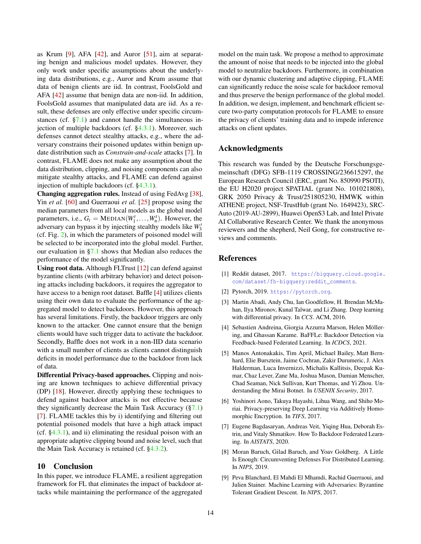as Krum [\[9\]](#page-13-2), AFA [\[42\]](#page-14-4), and Auror [\[51\]](#page-15-5), aim at separating benign and malicious model updates. However, they only work under specific assumptions about the underlying data distributions, e.g., Auror and Krum assume that data of benign clients are iid. In contrast, FoolsGold and AFA [\[42\]](#page-14-4) assume that benign data are non-iid. In addition, FoolsGold assumes that manipulated data are iid. As a result, these defenses are only effective under specific circumstances (cf.  $\S7.1$ ) and cannot handle the simultaneous injection of multiple backdoors (cf. [§4.3.1\)](#page-4-2). Moreover, such defenses cannot detect stealthy attacks, e.g., where the adversary constrains their poisoned updates within benign update distribution such as *Constrain-and-scale* attacks [\[7\]](#page-13-0). In contrast, FLAME does not make any assumption about the data distribution, clipping, and noising components can also mitigate stealthy attacks, and FLAME can defend against injection of multiple backdoors (cf. [§4.3.1\)](#page-4-2).

Changing aggregation rules. Instead of using FedAvg [\[38\]](#page-14-1), Yin *et al.* [\[60\]](#page-15-8) and Guerraoui *et al.* [\[25\]](#page-14-24) propose using the median parameters from all local models as the global model parameters, i.e.,  $G_t = \text{MEDIAN}(W_1^t, \ldots, W_n^t)$ . However, the adversary can bypass it by injecting stealthy models like  $W_3'$ (cf. Fig. [2\)](#page-3-1), in which the parameters of poisoned model will be selected to be incorporated into the global model. Further, our evaluation in [§7.1](#page-9-1) shows that Median also reduces the performance of the model significantly.

Using root data. Although FLTrust [\[12\]](#page-14-2) can defend against byzantine clients (with arbitrary behavior) and detect poisoning attacks including backdoors, it requires the aggregator to have access to a benign root dataset. Baffle [\[4\]](#page-13-1) utilizes clients using their own data to evaluate the performance of the aggregated model to detect backdoors. However, this approach has several limitations. Firstly, the backdoor triggers are only known to the attacker. One cannot ensure that the benign clients would have such trigger data to activate the backdoor. Secondly, Baffle does not work in a non-IID data scenario with a small number of clients as clients cannot distinguish deficits in model performance due to the backdoor from lack of data.

Differential Privacy-based approaches. Clipping and noising are known techniques to achieve differential privacy (DP) [\[18\]](#page-14-9). However, directly applying these techniques to defend against backdoor attacks is not effective because they significantly decrease the Main Task Accuracy  $(\frac{87.1}{87.1})$ [\[7\]](#page-13-0). FLAME tackles this by i) identifying and filtering out potential poisoned models that have a high attack impact (cf.  $\S 4.3.1$ ), and ii) eliminating the residual poison with an appropriate adaptive clipping bound and noise level, such that the Main Task Accuracy is retained (cf. [§4.3.2\)](#page-5-0).

#### 10 Conclusion

In this paper, we introduce FLAME, a resilient aggregation framework for FL that eliminates the impact of backdoor attacks while maintaining the performance of the aggregated model on the main task. We propose a method to approximate the amount of noise that needs to be injected into the global model to neutralize backdoors. Furthermore, in combination with our dynamic clustering and adaptive clipping, FLAME can significantly reduce the noise scale for backdoor removal and thus preserve the benign performance of the global model. In addition, we design, implement, and benchmark efficient secure two-party computation protocols for FLAME to ensure the privacy of clients' training data and to impede inference attacks on client updates.

#### Acknowledgments

This research was funded by the Deutsche Forschungsgemeinschaft (DFG) SFB-1119 CROSSING/236615297, the European Research Council (ERC, grant No. 850990 PSOTI), the EU H2020 project SPATIAL (grant No. 101021808), GRK 2050 Privacy & Trust/251805230, HMWK within ATHENE project, NSF-TrustHub (grant No. 1649423), SRC-Auto (2019-AU-2899), Huawei OpenS3 Lab, and Intel Private AI Collaborative Research Center. We thank the anonymous reviewers and the shepherd, Neil Gong, for constructive reviews and comments.

# References

- <span id="page-13-6"></span>[1] Reddit dataset, 2017. [https://bigquery.cloud.google.](https://bigquery.cloud.google.com/dataset/fh-bigquery:reddit_comments) [com/dataset/fh-bigquery:reddit\\_comments](https://bigquery.cloud.google.com/dataset/fh-bigquery:reddit_comments).
- <span id="page-13-4"></span>[2] Pytorch, 2019. <https://pytorch.org>.
- <span id="page-13-3"></span>[3] Martin Abadi, Andy Chu, Ian Goodfellow, H. Brendan McMahan, Ilya Mironov, Kunal Talwar, and Li Zhang. Deep learning with differential privacy. In *CCS*. ACM, 2016.
- <span id="page-13-1"></span>[4] Sebastien Andreina, Giorgia Azzurra Marson, Helen Möllering, and Ghassan Karame. BaFFLe: Backdoor Detection via Feedback-based Federated Learning. In *ICDCS*, 2021.
- <span id="page-13-8"></span>[5] Manos Antonakakis, Tim April, Michael Bailey, Matt Bernhard, Elie Bursztein, Jaime Cochran, Zakir Durumeric, J. Alex Halderman, Luca Invernizzi, Michalis Kallitsis, Deepak Kumar, Chaz Lever, Zane Ma, Joshua Mason, Damian Menscher, Chad Seaman, Nick Sullivan, Kurt Thomas, and Yi Zhou. Understanding the Mirai Botnet. In *USENIX Security*, 2017.
- <span id="page-13-5"></span>[6] Yoshinori Aono, Takuya Hayashi, Lihua Wang, and Shiho Moriai. Privacy-preserving Deep Learning via Additively Homomorphic Encryption. In *TIFS*, 2017.
- <span id="page-13-0"></span>[7] Eugene Bagdasaryan, Andreas Veit, Yiqing Hua, Deborah Estrin, and Vitaly Shmatikov. How To Backdoor Federated Learning. In *AISTATS*, 2020.
- <span id="page-13-7"></span>[8] Moran Baruch, Gilad Baruch, and Yoav Goldberg. A Little Is Enough: Circumventing Defenses For Distributed Learning. In *NIPS*, 2019.
- <span id="page-13-2"></span>[9] Peva Blanchard, El Mahdi El Mhamdi, Rachid Guerraoui, and Julien Stainer. Machine Learning with Adversaries: Byzantine Tolerant Gradient Descent. In *NIPS*, 2017.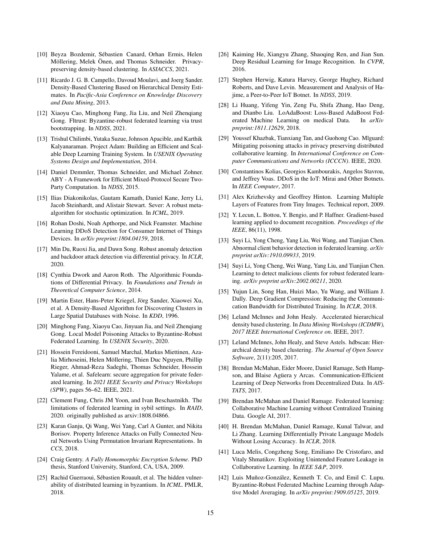- <span id="page-14-19"></span>[10] Beyza Bozdemir, Sébastien Canard, Orhan Ermis, Helen Möllering, Melek Önen, and Thomas Schneider. Privacypreserving density-based clustering. In *ASIACCS*, 2021.
- <span id="page-14-7"></span>[11] Ricardo J. G. B. Campello, Davoud Moulavi, and Joerg Sander. Density-Based Clustering Based on Hierarchical Density Estimates. In *Pacific-Asia Conference on Knowledge Discovery and Data Mining*, 2013.
- <span id="page-14-2"></span>[12] Xiaoyu Cao, Minghong Fang, Jia Liu, and Neil Zhenqiang Gong. Fltrust: Byzantine-robust federated learning via trust bootstrapping. In *NDSS*, 2021.
- <span id="page-14-13"></span>[13] Trishul Chilimbi, Yutaka Suzue, Johnson Apacible, and Karthik Kalyanaraman. Project Adam: Building an Efficient and Scalable Deep Learning Training System. In *USENIX Operating Systems Design and Implementation*, 2014.
- <span id="page-14-18"></span>[14] Daniel Demmler, Thomas Schneider, and Michael Zohner. ABY - A Framework for Efficient Mixed-Protocol Secure Two-Party Computation. In *NDSS*, 2015.
- <span id="page-14-20"></span>[15] Ilias Diakonikolas, Gautam Kamath, Daniel Kane, Jerry Li, Jacob Steinhardt, and Alistair Stewart. Sever: A robust metaalgorithm for stochastic optimization. In *ICML*, 2019.
- <span id="page-14-28"></span>[16] Rohan Doshi, Noah Apthorpe, and Nick Feamster. Machine Learning DDoS Detection for Consumer Internet of Things Devices. In *arXiv preprint:1804.04159*, 2018.
- <span id="page-14-10"></span>[17] Min Du, Ruoxi Jia, and Dawn Song. Robust anomaly detection and backdoor attack detection via differential privacy. In *ICLR*, 2020.
- <span id="page-14-9"></span>[18] Cynthia Dwork and Aaron Roth. The Algorithmic Foundations of Differential Privacy. In *Foundations and Trends in Theoretical Computer Science*, 2014.
- <span id="page-14-8"></span>[19] Martin Ester, Hans-Peter Kriegel, Jörg Sander, Xiaowei Xu, et al. A Density-Based Algorithm for Discovering Clusters in Large Spatial Databases with Noise. In *KDD*, 1996.
- <span id="page-14-14"></span>[20] Minghong Fang, Xiaoyu Cao, Jinyuan Jia, and Neil Zhengiang Gong. Local Model Poisoning Attacks to Byzantine-Robust Federated Learning. In *USENIX Security*, 2020.
- <span id="page-14-5"></span>[21] Hossein Fereidooni, Samuel Marchal, Markus Miettinen, Azalia Mirhoseini, Helen Möllering, Thien Duc Nguyen, Phillip Rieger, Ahmad-Reza Sadeghi, Thomas Schneider, Hossein Yalame, et al. Safelearn: secure aggregation for private federated learning. In *2021 IEEE Security and Privacy Workshops (SPW)*, pages 56–62. IEEE, 2021.
- <span id="page-14-3"></span>[22] Clement Fung, Chris JM Yoon, and Ivan Beschastnikh. The limitations of federated learning in sybil settings. In *RAID*, 2020. originally published as arxiv:1808.04866.
- <span id="page-14-16"></span>[23] Karan Ganju, Qi Wang, Wei Yang, Carl A Gunter, and Nikita Borisov. Property Inference Attacks on Fully Connected Neural Networks Using Permutation Invariant Representations. In *CCS*, 2018.
- <span id="page-14-17"></span>[24] Craig Gentry. *A Fully Homomorphic Encryption Scheme*. PhD thesis, Stanford University, Stanford, CA, USA, 2009.
- <span id="page-14-24"></span>[25] Rachid Guerraoui, Sébastien Rouault, et al. The hidden vulnerability of distributed learning in byzantium. In *ICML*. PMLR, 2018.
- <span id="page-14-26"></span>[26] Kaiming He, Xiangyu Zhang, Shaoqing Ren, and Jian Sun. Deep Residual Learning for Image Recognition. In *CVPR*, 2016.
- <span id="page-14-29"></span>[27] Stephen Herwig, Katura Harvey, George Hughey, Richard Roberts, and Dave Levin. Measurement and Analysis of Hajime, a Peer-to-Peer IoT Botnet. In *NDSS*, 2019.
- <span id="page-14-6"></span>[28] Li Huang, Yifeng Yin, Zeng Fu, Shifa Zhang, Hao Deng, and Dianbo Liu. LoAdaBoost: Loss-Based AdaBoost Federated Machine Learning on medical Data. In *arXiv preprint:1811.12629*, 2018.
- <span id="page-14-21"></span>[29] Youssef Khazbak, Tianxiang Tan, and Guohong Cao. Mlguard: Mitigating poisoning attacks in privacy preserving distributed collaborative learning. In *International Conference on Computer Communications and Networks (ICCCN)*. IEEE, 2020.
- <span id="page-14-30"></span>[30] Constantinos Kolias, Georgios Kambourakis, Angelos Stavrou, and Jeffrey Voas. DDoS in the IoT: Mirai and Other Botnets. In *IEEE Computer*, 2017.
- <span id="page-14-25"></span>[31] Alex Krizhevsky and Geoffrey Hinton. Learning Multiple Layers of Features from Tiny Images. Technical report, 2009.
- <span id="page-14-27"></span>[32] Y. Lecun, L. Bottou, Y. Bengio, and P. Haffner. Gradient-based learning applied to document recognition. *Proceedings of the IEEE*, 86(11), 1998.
- <span id="page-14-22"></span>[33] Suyi Li, Yong Cheng, Yang Liu, Wei Wang, and Tianjian Chen. Abnormal client behavior detection in federated learning. *arXiv preprint arXiv:1910.09933*, 2019.
- <span id="page-14-23"></span>[34] Suyi Li, Yong Cheng, Wei Wang, Yang Liu, and Tianjian Chen. Learning to detect malicious clients for robust federated learning. *arXiv preprint arXiv:2002.00211*, 2020.
- <span id="page-14-11"></span>[35] Yujun Lin, Song Han, Huizi Mao, Yu Wang, and William J. Dally. Deep Gradient Compression: Reducing the Communication Bandwidth for Distributed Training. In *ICLR*, 2018.
- <span id="page-14-31"></span>[36] Leland McInnes and John Healy. Accelerated hierarchical density based clustering. In *Data Mining Workshops (ICDMW), 2017 IEEE International Conference on*. IEEE, 2017.
- <span id="page-14-32"></span>[37] Leland McInnes, John Healy, and Steve Astels. hdbscan: Hierarchical density based clustering. *The Journal of Open Source Software*, 2(11):205, 2017.
- <span id="page-14-1"></span>[38] Brendan McMahan, Eider Moore, Daniel Ramage, Seth Hampson, and Blaise Agüera y Arcas. Communication-Efficient Learning of Deep Networks from Decentralized Data. In *AIS-TATS*, 2017.
- <span id="page-14-0"></span>[39] Brendan McMahan and Daniel Ramage. Federated learning: Collaborative Machine Learning without Centralized Training Data. Google AI, 2017.
- <span id="page-14-12"></span>[40] H. Brendan McMahan, Daniel Ramage, Kunal Talwar, and Li Zhang. Learning Differentially Private Language Models Without Losing Accuracy. In *ICLR*, 2018.
- <span id="page-14-15"></span>[41] Luca Melis, Congzheng Song, Emiliano De Cristofaro, and Vitaly Shmatikov. Exploiting Unintended Feature Leakage in Collaborative Learning. In *IEEE S&P*, 2019.
- <span id="page-14-4"></span>[42] Luis Muñoz-González, Kenneth T. Co, and Emil C. Lupu. Byzantine-Robust Federated Machine Learning through Adaptive Model Averaging. In *arXiv preprint:1909.05125*, 2019.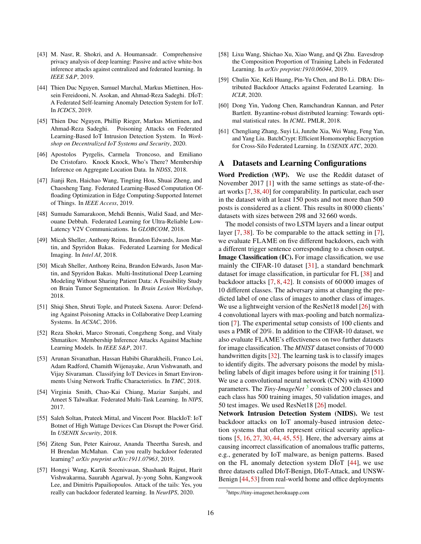- <span id="page-15-15"></span>[43] M. Nasr, R. Shokri, and A. Houmansadr. Comprehensive privacy analysis of deep learning: Passive and active white-box inference attacks against centralized and federated learning. In *IEEE S&P*, 2019.
- <span id="page-15-1"></span>[44] Thien Duc Nguyen, Samuel Marchal, Markus Miettinen, Hossein Fereidooni, N. Asokan, and Ahmad-Reza Sadeghi. DÏoT: A Federated Self-learning Anomaly Detection System for IoT. In *ICDCS*, 2019.
- <span id="page-15-2"></span>[45] Thien Duc Nguyen, Phillip Rieger, Markus Miettinen, and Ahmad-Reza Sadeghi. Poisoning Attacks on Federated Learning-Based IoT Intrusion Detection System. In *Workshop on Decentralized IoT Systems and Security*, 2020.
- <span id="page-15-12"></span>[46] Apostolos Pyrgelis, Carmela Troncoso, and Emiliano De Cristofaro. Knock Knock, Who's There? Membership Inference on Aggregate Location Data. In *NDSS*, 2018.
- <span id="page-15-9"></span>[47] Jianji Ren, Haichao Wang, Tingting Hou, Shuai Zheng, and Chaosheng Tang. Federated Learning-Based Computation Offloading Optimization in Edge Computing-Supported Internet of Things. In *IEEE Access*, 2019.
- <span id="page-15-11"></span>[48] Sumudu Samarakoon, Mehdi Bennis, Walid Saad, and Merouane Debbah. Federated Learning for Ultra-Reliable Low-Latency V2V Communications. In *GLOBCOM*, 2018.
- <span id="page-15-0"></span>[49] Micah Sheller, Anthony Reina, Brandon Edwards, Jason Martin, and Spyridon Bakas. Federated Learning for Medical Imaging. In *Intel AI*, 2018.
- <span id="page-15-7"></span>[50] Micah Sheller, Anthony Reina, Brandon Edwards, Jason Martin, and Spyridon Bakas. Multi-Institutional Deep Learning Modeling Without Sharing Patient Data: A Feasibility Study on Brain Tumor Segmentation. In *Brain Lesion Workshop*, 2018.
- <span id="page-15-5"></span>[51] Shiqi Shen, Shruti Tople, and Prateek Saxena. Auror: Defending Against Poisoning Attacks in Collaborative Deep Learning Systems. In *ACSAC*, 2016.
- <span id="page-15-13"></span>[52] Reza Shokri, Marco Stronati, Congzheng Song, and Vitaly Shmatikov. Membership Inference Attacks Against Machine Learning Models. In *IEEE S&P*, 2017.
- <span id="page-15-19"></span>[53] Arunan Sivanathan, Hassan Habibi Gharakheili, Franco Loi, Adam Radford, Chamith Wijenayake, Arun Vishwanath, and Vijay Sivaraman. Classifying IoT Devices in Smart Environments Using Network Traffic Characteristics. In *TMC*, 2018.
- <span id="page-15-10"></span>[54] Virginia Smith, Chao-Kai Chiang, Maziar Sanjabi, and Ameet S Talwalkar. Federated Multi-Task Learning. In *NIPS*, 2017.
- <span id="page-15-18"></span>[55] Saleh Soltan, Prateek Mittal, and Vincent Poor. BlackIoT: IoT Botnet of High Wattage Devices Can Disrupt the Power Grid. In *USENIX Security*, 2018.
- <span id="page-15-6"></span>[56] Ziteng Sun, Peter Kairouz, Ananda Theertha Suresh, and H Brendan McMahan. Can you really backdoor federated learning? *arXiv preprint arXiv:1911.07963*, 2019.
- <span id="page-15-3"></span>[57] Hongyi Wang, Kartik Sreenivasan, Shashank Rajput, Harit Vishwakarma, Saurabh Agarwal, Jy-yong Sohn, Kangwook Lee, and Dimitris Papailiopoulos. Attack of the tails: Yes, you really can backdoor federated learning. In *NeurIPS*, 2020.
- <span id="page-15-14"></span>[58] Lixu Wang, Shichao Xu, Xiao Wang, and Qi Zhu. Eavesdrop the Composition Proportion of Training Labels in Federated Learning. In *arXiv preprint:1910.06044*, 2019.
- <span id="page-15-4"></span>[59] Chulin Xie, Keli Huang, Pin-Yu Chen, and Bo Li. DBA: Distributed Backdoor Attacks against Federated Learning. In *ICLR*, 2020.
- <span id="page-15-8"></span>[60] Dong Yin, Yudong Chen, Ramchandran Kannan, and Peter Bartlett. Byzantine-robust distributed learning: Towards optimal statistical rates. In *ICML*. PMLR, 2018.
- <span id="page-15-16"></span>[61] Chengliang Zhang, Suyi Li, Junzhe Xia, Wei Wang, Feng Yan, and Yang Liu. BatchCrypt: Efficient Homomorphic Encryption for Cross-Silo Federated Learning. In *USENIX ATC*, 2020.

### A Datasets and Learning Configurations

Word Prediction (WP). We use the Reddit dataset of November 2017 [\[1\]](#page-13-6) with the same settings as state-of-theart works [\[7,](#page-13-0)[38,](#page-14-1)[40\]](#page-14-12) for comparability. In particular, each user in the dataset with at least 150 posts and not more than 500 posts is considered as a client. This results in 80 000 clients' datasets with sizes between 298 and 32 660 words.

The model consists of two LSTM layers and a linear output layer [\[7,](#page-13-0) [38\]](#page-14-1). To be comparable to the attack setting in [\[7\]](#page-13-0), we evaluate FLAME on five different backdoors, each with a different trigger sentence corresponding to a chosen output. Image Classification (IC). For image classification, we use mainly the CIFAR-10 dataset [\[31\]](#page-14-25), a standard benchmark dataset for image classification, in particular for FL [\[38\]](#page-14-1) and backdoor attacks [\[7,](#page-13-0) [8,](#page-13-7) [42\]](#page-14-4). It consists of 60 000 images of 10 different classes. The adversary aims at changing the predicted label of one class of images to another class of images. We use a lightweight version of the ResNet18 model [\[26\]](#page-14-26) with 4 convolutional layers with max-pooling and batch normalization [\[7\]](#page-13-0). The experimental setup consists of 100 clients and uses a PMR of 20%. In addition to the CIFAR-10 dataset, we also evaluate FLAME's effectiveness on two further datasets for image classification. The *MNIST* dataset consists of 70 000 handwritten digits [\[32\]](#page-14-27). The learning task is to classify images to identify digits. The adversary poisons the model by mislabeling labels of digit images before using it for training [\[51\]](#page-15-5). We use a convolutional neural network (CNN) with 431000 parameters. The *Tiny-ImageNet*<sup>[3](#page-15-17)</sup> consists of 200 classes and each class has 500 training images, 50 validation images, and 50 test images. We used ResNet18 [\[26\]](#page-14-26) model.

Network Intrusion Detection System (NIDS). We test backdoor attacks on IoT anomaly-based intrusion detection systems that often represent critical security applications [\[5,](#page-13-8) [16,](#page-14-28) [27,](#page-14-29) [30,](#page-14-30) [44,](#page-15-1) [45,](#page-15-2) [55\]](#page-15-18). Here, the adversary aims at causing incorrect classification of anomalous traffic patterns, e.g., generated by IoT malware, as benign patterns. Based on the FL anomaly detection system  $D\ddot{I}oT$  [\[44\]](#page-15-1), we use three datasets called DIoT-Benign, DIoT-Attack, and UNSW-Benign [\[44,](#page-15-1)[53\]](#page-15-19) from real-world home and office deployments

<span id="page-15-17"></span><sup>3</sup>https://tiny-imagenet.herokuapp.com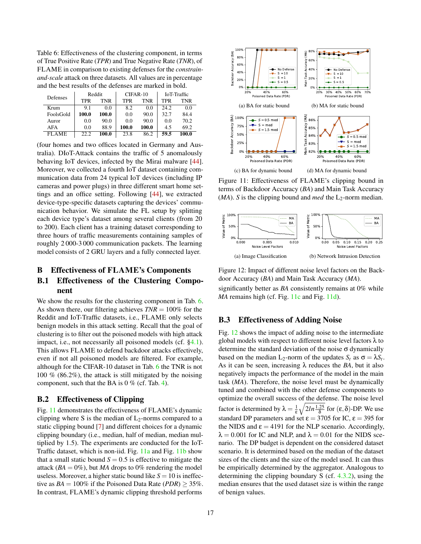<span id="page-16-3"></span>Table 6: Effectiveness of the clustering component, in terms of True Positive Rate (*TPR*) and True Negative Rate (*TNR*), of FLAME in comparison to existing defenses for the *constrainand-scale* attack on three datasets. All values are in percentage and the best results of the defenses are marked in bold.

| Defenses   | Reddit |       | CIFAR-10 |       | IoT-Traffic |       |
|------------|--------|-------|----------|-------|-------------|-------|
|            | TPR    | TNR   | TPR      | TNR   | TPR         | TNR   |
| Krum       | 9.1    | 0.0   | 8.2      | 0.0   | 24.2        | 0.0   |
| FoolsGold  | 100.0  | 100.0 | 0.0      | 90.0  | 32.7        | 84.4  |
| Auror      | 0.0    | 90.0  | 0.0      | 90.0  | 0.0         | 70.2  |
| <b>AFA</b> | 0.0    | 88.9  | 100.0    | 100.0 | 4.5         | 69.2  |
| FL A ME    | 22.2   | 100.0 | 23.8     | 86.2  | 59.5        | 100.0 |

(four homes and two offices located in Germany and Australia). DIoT-Attack contains the traffic of 5 anomalously behaving IoT devices, infected by the Mirai malware [\[44\]](#page-15-1). Moreover, we collected a fourth IoT dataset containing communication data from 24 typical IoT devices (including IP cameras and power plugs) in three different smart home settings and an office setting. Following [\[44\]](#page-15-1), we extracted device-type-specific datasets capturing the devices' communication behavior. We simulate the FL setup by splitting each device type's dataset among several clients (from 20 to 200). Each client has a training dataset corresponding to three hours of traffic measurements containing samples of roughly 2 000-3 000 communication packets. The learning model consists of 2 GRU layers and a fully connected layer.

#### <span id="page-16-2"></span>B Effectiveness of FLAME's Components

# B.1 Effectiveness of the Clustering Component

We show the results for the clustering component in Tab. [6.](#page-16-3) As shown there, our filtering achieves *TNR* = 100% for the Reddit and IoT-Traffic datasets, i.e., FLAME only selects benign models in this attack setting. Recall that the goal of clustering is to filter out the poisoned models with high attack impact, i.e., not necessarily all poisoned models (cf. [§4.1\)](#page-3-0). This allows FLAME to defend backdoor attacks effectively, even if not all poisoned models are filtered. For example, although for the CIFAR-10 dataset in Tab. [6](#page-16-3) the TNR is not 100 % (86.2%), the attack is still mitigated by the noising component, such that the BA is  $0\%$  (cf. Tab. [4\)](#page-10-1).

# <span id="page-16-0"></span>B.2 Effectiveness of Clipping

Fig. [11](#page-16-4) demonstrates the effectiveness of FLAME's dynamic clipping where S is the median of  $L_2$ -norms compared to a static clipping bound [\[7\]](#page-13-0) and different choices for a dynamic clipping boundary (i.e., median, half of median, median multiplied by 1.5). The experiments are conducted for the IoT-Traffic dataset, which is non-iid. Fig. [11a](#page-16-5) and Fig. [11b](#page-16-6) show that a small static bound  $S = 0.5$  is effective to mitigate the attack  $(BA = 0\%)$ , but *MA* drops to 0% rendering the model useless. Moreover, a higher static bound like  $S = 10$  is ineffective as  $BA = 100\%$  if the Poisoned Data Rate (*PDR*) > 35%. In contrast, FLAME's dynamic clipping threshold performs

<span id="page-16-7"></span><span id="page-16-6"></span><span id="page-16-5"></span><span id="page-16-4"></span>

<span id="page-16-8"></span>Figure 11: Effectiveness of FLAME's clipping bound in terms of Backdoor Accuracy (*BA*) and Main Task Accuracy  $(MA)$ . *S* is the clipping bound and *med* the L<sub>2</sub>-norm median.

<span id="page-16-9"></span>

Figure 12: Impact of different noise level factors on the Backdoor Accuracy (*BA*) and Main Task Accuracy (*MA*).

<span id="page-16-1"></span>significantly better as *BA* consistently remains at 0% while *MA* remains high (cf. Fig. [11c](#page-16-7) and Fig. [11d\)](#page-16-8).

#### B.3 Effectiveness of Adding Noise

Fig. [12](#page-16-9) shows the impact of adding noise to the intermediate global models with respect to different noise level factors  $\lambda$  to determine the standard deviation of the noise σ dynamically based on the median  $L_2$ -norm of the updates  $S_t$  as  $\sigma = \lambda S_t$ . As it can be seen, increasing  $\lambda$  reduces the *BA*, but it also negatively impacts the performance of the model in the main task (*MA*). Therefore, the noise level must be dynamically tuned and combined with the other defense components to optimize the overall success of the defense. The noise level factor is determined by  $\lambda = \frac{1}{\epsilon}$  $\sqrt{2ln\frac{1.25}{\delta}}$  for  $(\varepsilon,\delta)$ -DP. We use standard DP parameters and set  $\epsilon = 3705$  for IC,  $\epsilon = 395$  for the NIDS and  $\varepsilon = 4191$  for the NLP scenario. Accordingly,  $\lambda = 0.001$  for IC and NLP, and  $\lambda = 0.01$  for the NIDS scenario. The DP budget is dependent on the considered dataset scenario. It is determined based on the median of the dataset sizes of the clients and the size of the model used. It can thus be empirically determined by the aggregator. Analogous to determining the clipping boundary S (cf. [4.3.2\)](#page-5-0), using the median ensures that the used dataset size is within the range of benign values.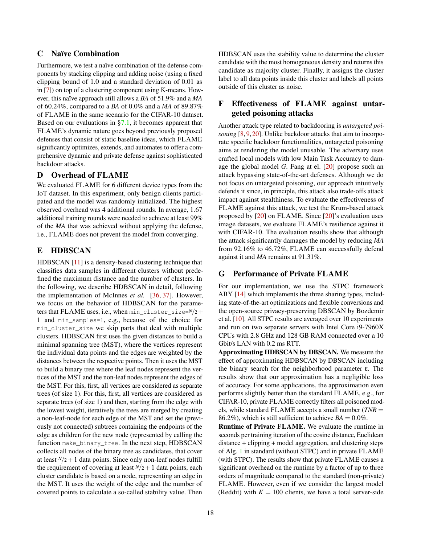# <span id="page-17-0"></span>C Naïve Combination

Furthermore, we test a naïve combination of the defense components by stacking clipping and adding noise (using a fixed clipping bound of 1.0 and a standard deviation of 0.01 as in [\[7\]](#page-13-0)) on top of a clustering component using K-means. However, this naïve approach still allows a *BA* of 51.9% and a *MA* of 60.24%, compared to a *BA* of 0.0% and a *MA* of 89.87% of FLAME in the same scenario for the CIFAR-10 dataset. Based on our evaluations in [§7.1,](#page-10-1) it becomes apparent that FLAME's dynamic nature goes beyond previously proposed defenses that consist of static baseline ideas, which FLAME significantly optimizes, extends, and automates to offer a comprehensive dynamic and private defense against sophisticated backdoor attacks.

# <span id="page-17-2"></span>D Overhead of FLAME

We evaluated FLAME for 6 different device types from the IoT dataset. In this experiment, only benign clients participated and the model was randomly initialized. The highest observed overhead was 4 additional rounds. In average, 1.67 additional training rounds were needed to achieve at least 99% of the *MA* that was achieved without applying the defense, i.e., FLAME does not prevent the model from converging.

# <span id="page-17-1"></span>E HDBSCAN

HDBSCAN [\[11\]](#page-14-7) is a density-based clustering technique that classifies data samples in different clusters without predefined the maximum distance and the number of clusters. In the following, we describe HDBSCAN in detail, following the implementation of McInnes *et al.* [\[36,](#page-14-31) [37\]](#page-14-32). However, we focus on the behavior of HDBSCAN for the parameters that FLAME uses, i.e., when min cluster size= $N/2+$ 1 and min\_samples=1, e.g., because of the choice for min\_cluster\_size we skip parts that deal with multiple clusters. HDBSCAN first uses the given distances to build a minimal spanning tree (MST), where the vertices represent the individual data points and the edges are weighted by the distances between the respective points. Then it uses the MST to build a binary tree where the leaf nodes represent the vertices of the MST and the non-leaf nodes represent the edges of the MST. For this, first, all vertices are considered as separate trees (of size 1). For this, first, all vertices are considered as separate trees (of size 1) and then, starting from the edge with the lowest weight, iteratively the trees are merged by creating a non-leaf-node for each edge of the MST and set the (previously not connected) subtrees containing the endpoints of the edge as children for the new node (represented by calling the function make\_binary\_tree. In the next step, HDBSCAN collects all nodes of the binary tree as candidates, that cover at least  $N/2+1$  data points. Since only non-leaf nodes fulfill the requirement of covering at least  $N/2+1$  data points, each cluster candidate is based on a node, representing an edge in the MST. It uses the weight of the edge and the number of covered points to calculate a so-called stability value. Then

HDBSCAN uses the stability value to determine the cluster candidate with the most homogeneous density and returns this candidate as majority cluster. Finally, it assigns the cluster label to all data points inside this cluster and labels all points outside of this cluster as noise.

# <span id="page-17-3"></span>F Effectiveness of FLAME against untargeted poisoning attacks

Another attack type related to backdooring is *untargeted poisoning* [\[8,](#page-13-7) [9,](#page-13-2) [20\]](#page-14-14). Unlike backdoor attacks that aim to incorporate specific backdoor functionalities, untargeted poisoning aims at rendering the model unusable. The adversary uses crafted local models with low Main Task Accuracy to damage the global model *G*. Fang at el. [\[20\]](#page-14-14) propose such an attack bypassing state-of-the-art defenses. Although we do not focus on untargeted poisoning, our approach intuitively defends it since, in principle, this attack also trade-offs attack impact against stealthiness. To evaluate the effectiveness of FLAME against this attack, we test the Krum-based attack proposed by [\[20\]](#page-14-14) on FLAME. Since [\[20\]](#page-14-14)'s evaluation uses image datasets, we evaluate FLAME's resilience against it with CIFAR-10. The evaluation results show that although the attack significantly damages the model by reducing *MA* from 92.16% to 46.72%, FLAME can successfully defend against it and *MA* remains at 91.31%.

# <span id="page-17-4"></span>G Performance of Private FLAME

For our implementation, we use the STPC framework ABY [\[14\]](#page-14-18) which implements the three sharing types, including state-of-the-art optimizations and flexible conversions and the open-source privacy-preserving DBSCAN by Bozdemir et al. [\[10\]](#page-14-19). All STPC results are averaged over 10 experiments and run on two separate servers with Intel Core i9-7960X CPUs with 2.8 GHz and 128 GB RAM connected over a 10 Gbit/s LAN with 0.2 ms RTT.

Approximating HDBSCAN by DBSCAN. We measure the effect of approximating HDBSCAN by DBSCAN including the binary search for the neighborhood parameter ε. The results show that our approximation has a negligible loss of accuracy. For some applications, the approximation even performs slightly better than the standard FLAME, e.g., for CIFAR-10, private FLAME correctly filters all poisoned models, while standard FLAME accepts a small number (*TNR* = 86.2%), which is still sufficient to achieve  $BA = 0.0\%$ .

Runtime of Private FLAME. We evaluate the runtime in seconds per training iteration of the cosine distance, Euclidean distance + clipping + model aggregation, and clustering steps of Alg. [1](#page-4-6) in standard (without STPC) and in private FLAME (with STPC). The results show that private FLAME causes a significant overhead on the runtime by a factor of up to three orders of magnitude compared to the standard (non-private) FLAME. However, even if we consider the largest model (Reddit) with  $K = 100$  clients, we have a total server-side